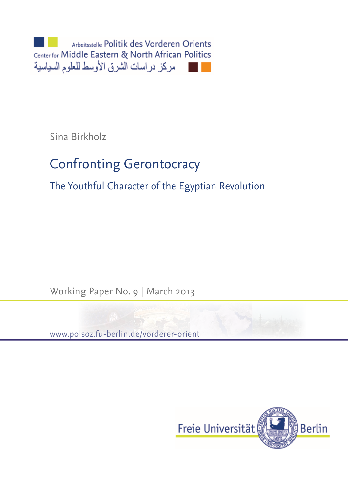Arbeitsstelle Politik des Vorderen Orients Center for Middle Eastern & North African Politics مركز دراسات الشرق الأوسط للعلوم السياسية

Sina Birkholz

# Confronting Gerontocracy

The Youthful Character of the Egyptian Revolution

Working Paper No. 9 | March 2013

www.polsoz.fu-berlin.de/vorderer-orient

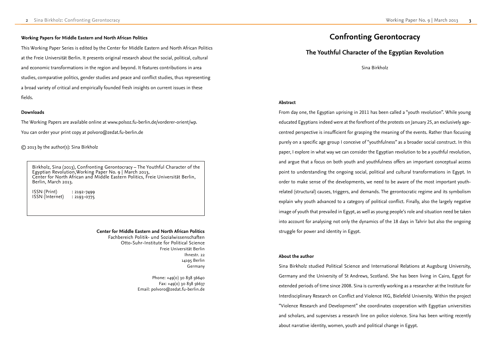### **About the author**

## **The Youthful Character of the Egyptian Revolution**

Sina Birkholz

### **Abstract**

From day one, the Egyptian uprising in 2011 has been called a "youth revolution". While young educated Egyptians indeed were at the forefront of the protests on January 25, an exclusively agecentred perspective is insufficient for grasping the meaning of the events. Rather than focusing purely on a specific age group I conceive of "youthfulness" as a broader social construct. In this paper, I explore in what way we can consider the Egyptian revolution to be a youthful revolution, and argue that a focus on both youth and youthfulness offers an important conceptual access point to understanding the ongoing social, political and cultural transformations in Egypt. In order to make sense of the developments, we need to be aware of the most important youthrelated (structural) causes, triggers, and demands. The gerontocratic regime and its symbolism explain why youth advanced to a category of political conflict. Finally, also the largely negative image of youth that prevailed in Egypt, as well as young people's role and situation need be taken into account for analysing not only the dynamics of the 18 days in Tahrir but also the ongoing struggle for power and identity in Egypt.

ISSN (Print) : 2192-7499  $ISSN$  (Internet) : 2193-0775

> Sina Birkholz studied Political Science and International Relations at Augsburg University, Germany and the University of St Andrews, Scotland. She has been living in Cairo, Egypt for extended periods of time since 2008. Sina is currently working as a researcher at the Institute for Interdisciplinary Research on Conflict and Violence IKG, Bielefeld University. Within the project "Violence Research and Development" she coordinates cooperation with Egyptian universities and scholars, and supervises a research line on police violence. Sina has been writing recently about narrative identity, women, youth and political change in Egypt.

Phone: +49(0) 30 838 56640  $Fax: +49(0)$  30 838 56637 Email: polvoro@zedat.fu-berlin.de

## **Confronting Gerontocracy**

### **Working Papers for Middle Eastern and North African Politics**

This Working Paper Series is edited by the Center for Middle Eastern and North African Politics at the Freie Universität Berlin. It presents original research about the social, political, cultural and economic transformations in the region and beyond. It features contributions in area studies, comparative politics, gender studies and peace and conflict studies, thus representing a broad variety of critical and empirically founded fresh insights on current issues in these fields.

### **Downloads**

The Working Papers are available online at www.polsoz.fu-berlin.de/vorderer-orient/wp.

You can order your print copy at polvoro@zedat.fu-berlin.de

© 2013 by the author(s): Sina Birkholz

Birkholz, Sina (2013), Confronting Gerontocracy – The Youthful Character of the Egyptian Revolution,Working Paper No. 9 | March 2013, Center for North African and Middle Eastern Politics, Freie Universität Berlin, Berlin, March 2013.

### **Center for Middle Eastern and North African Politics**

Fachbereich Politik- und Sozialwissenschaften Otto-Suhr-Institute for Political Science Freie Universität Berlin Ihnestr. 22 14195 Berlin Germany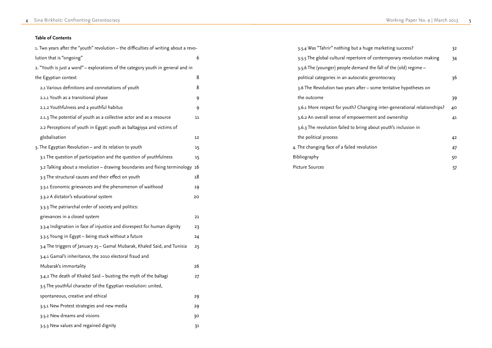| 3.5.4 Was "Tahrir" nothing but a huge marketing success?                 | 32 |
|--------------------------------------------------------------------------|----|
| 3.5.5 The global cultural repertoire of contemporary revolution making   | 34 |
| 3.5.6 The (younger) people demand the fall of the (old) regime –         |    |
| political categories in an autocratic gerontocracy                       | 36 |
| 3.6 The Revolution two years after – some tentative hypotheses on        |    |
| the outcome                                                              | 39 |
| 3.6.1 More respect for youth? Changing inter-generational relationships? | 40 |
| 3.6.2 An overall sense of empowerment and ownership                      | 41 |
| 3.6.3 The revolution failed to bring about youth's inclusion in          |    |
| the political process                                                    | 42 |
| 4. The changing face of a failed revolution                              | 47 |
| Bibliography                                                             |    |
| <b>Picture Sources</b>                                                   |    |

### **Table of Contents**

| 1. Two years after the "youth" revolution – the difficulties of writing about a revo- |    |
|---------------------------------------------------------------------------------------|----|
| lution that is "ongoing"                                                              | 6  |
| 2. "Youth is just a word" – explorations of the category youth in general and in      |    |
| the Egyptian context                                                                  | 8  |
| 2.1 Various definitions and connotations of youth                                     | 8  |
| 2.1.1 Youth as a transitional phase                                                   | 9  |
| 2.1.2 Youthfulness and a youthful habitus                                             | 9  |
| 2.1.3 The potential of youth as a collective actor and as a resource                  | 11 |
| 2.2 Perceptions of youth in Egypt: youth as baltagiyya and victims of                 |    |
| globalisation                                                                         | 12 |
| 3. The Egyptian Revolution – and its relation to youth                                | 15 |
| 3.1 The question of participation and the question of youthfulness                    | 15 |
| 3.2 Talking about a revolution - drawing boundaries and fixing terminology            | 16 |
| 3.3 The structural causes and their effect on youth                                   | 18 |
| 3.3.1 Economic grievances and the phenomenon of waithood                              | 19 |
| 3.3.2 A dictator's educational system                                                 | 20 |
| 3.3.3 The patriarchal order of society and politics:                                  |    |
| grievances in a closed system                                                         | 21 |
| 3.3.4 Indignation in face of injustice and disrespect for human dignity               | 23 |
| 3.3.5 Young in Egypt – being stuck without a future                                   | 24 |
| 3.4 The triggers of January 25 – Gamal Mubarak, Khaled Said, and Tunisia              | 25 |
| 3.4.1 Gamal's inheritance, the 2010 electoral fraud and                               |    |
| Mubarak's immortality                                                                 | 26 |
| 3.4.2 The death of Khaled Said – busting the myth of the baltagi                      | 27 |
| 3.5 The youthful character of the Egyptian revolution: united,                        |    |
| spontaneous, creative and ethical                                                     | 29 |
| 3.5.1 New Protest strategies and new media                                            | 29 |
| 3.5.2 New dreams and visions                                                          | 30 |
| 3.5.3 New values and regained dignity                                                 | 31 |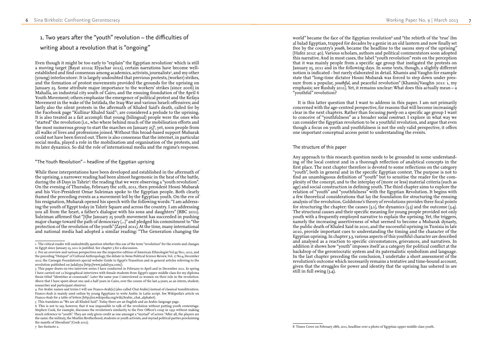## 1. Two years after the "youth" revolution – the difficulties of writing about a revolution that is "ongoing"

Even though it might be too early to "explain" the Egyptian revolution<sup>1</sup> which is still a moving target (Bayat 2011a; Elyachar 2012), certain narrations have become wellestablished and find consensus among academics, activists, journalists<sup>2</sup>, and my other (young) interlocutors<sup>3</sup>. It is largely undoubted that previous protests, (worker) strikes, and the formation of protest movements provided the grounds for the uprising on January 25. Some attribute major importance to the workers' strikes (since 2006) in Mahalla, an industrial city south of Cairo, and the ensuing foundation of the April 6 Youth Movement; others emphasize the emergence of political protest and the Kefaya Movement in the wake of the Intifada, the Iraq-War and various Israeli offensives; and lastly also the silent protests in the aftermath of Khaled Said's death, called for by the Facebook page "Kullina 4 Khaled Said" 5 , are considered a prelude to the uprising. It is also treated as a fait accompli that young (bilingual) people were the ones who "started" the revolution (i.e., who where behind much of the mobilisation efforts and the most numerous group to start the marches on January 25) 6 , yet, soon people from all walks of lives and professions joined. Without this broad-based support Mubarak could not have been forced out. There is also consensus that the internet, in particular social media, played a role in the mobilisation and organisation of the protests, and its later dynamics. So did the role of international media and the regime's response.

While these interpretations have been developed and established in the aftermath of the uprising, a narrower reading had been almost hegemonic in the heat of the battle, during the 18 Days in Tahrir<sup>7</sup>: the reading that we were observing a "youth revolution". On the evening of Thursday, February the 10th, 2011, then president Hosni Mubarak and his Vice-President Omar Suleiman spoke to the Egyptian people. Both clearly framed the preceding events as a movement led by the Egyptian youth. On the eve of his resignation, Mubarak opened his speech with the following words: "I am address ing the youth of Egypt today in Tahrir Square and across the country. I am addressing you all from the heart, a father's dialogue with his sons and daughters" (BBC 2011). Suleiman affirmed that "[t]he January 25 youth movement has succeeded in pushing major change toward the path of democracy (...)" and pledged his commitment to "the protection of the revolution of the youth" (Zayed 2011). At the time, many international<br>and national media had adopted a similar reading: "The Generation changing the

### "The Youth Revolution" – headline of the Egyptian uprising

Any approach to this research question needs to be grounded in some understand ing of the local context and in a thorough reflection of analytical concepts in the first place. The next chapter therefore is devoted to some reflections on the category "youth", both in general and in the specific Egyptian context. The purpose is not to find an unambiguous definition of "youth" but to sensitise the reader for the com plexity of the concept, and to the interplay of (more or less) material criteria (such as age) and social construction in defining youth. The third chapter aims to explore the relation of "youth" and "youthfulness" with the Egyptian Revolution. It begins with a few theoretical considerations that lay the foundation for structuring the ensuing analysis of the revolution. Goldstone's theory of revolutions provides three focal points for structuring the chapter: the causes  $(3.1)$ , the dynamics  $(3.3)$  and the outcome  $(3.4)$ . The structural causes and their specific meaning for young people provided not only youth with a frequently employed narrative to explain the uprising. Yet, the triggers, namely the increasing assertiveness of what seemed to become a Mubarak dynasty, the public death of Khaled Said in 2010, and the successful uprising in Tunisia in late 2010, provide important cues to understanding the timing and the character of the Egyptian uprising. In chapter 3.3, various aspects of this youthful character are described and analysed as a reaction to specific circumstances, grievances, and narratives. In addition it shows how "youth" imposes itself as a category for political conflict at the backdrop of the gerontocratic system and its paternalistic symbolism and language. In the last chapter preceding the conclusion, I undertake a short assessment of the revolution's outcome which necessarily remains a tentative and time-bound account, given that the struggles for power and identity that the uprising has ushered in are still in full swing (3.4).<br>-<br>8 Times Cover on February 28th, 2011, headline over a photo of Egyptian upper middle class youth.

7 See footnote 2.

world" became the face of the Egyptian revolution 8 and "the rebirth of the 'true' ibn al balad Egyptian, trapped for decades by a genie in an old lantern and now finally set free by the country's *youth*, became the headline to the *success story* of the uprising" (Hafez 2012: 40). Various scholars, authors and political commentators soon adopted this narrative. And in most cases, the label "youth revolution" rests on the perception that it was mainly people from a specific age group that instigated the protests on January 25, 2011 and in the following days. In some texts, though, a slightly different notion is indicated - but rarely elaborated in detail. Khamis and Vaughn for example state that "long-time dictator Hosni Mubarak was forced to step down under pres sure from a popular, *youthful*, and peaceful revolution" (Khamis/Vaughn 2011: 1, my emphasis; see Rushdy 2011). Yet, it remains unclear: What does this actually mean – a "youthful" revolution?

It is this latter question that I want to address in this paper. I am not primarily concerned with the age-centred perspective, for reasons that will become increasingly clear in the next chapters. Rather than focusing *purely* on a specific age group I want to conceive of "youthfulness" as a broader *social construct*. I explore in what way we can consider the Egyptian revolution to be a youthful revolution, and argue that even though a focus on youth and youthfulness is not the only valid perspective, it offers one important conceptual access point to understanding the events.

### The structure of this paper

<sup>1</sup> The critical reader will undoubtedly question whether this use of the term "revolution" for the events and changes in Egypt since January 25, 2011 is justified. See chapter 3 for a discussion.

researcher and participant observer.<br>4 For Arabic names and terms I will use Franco-Arab(ic) (also called Chat Arabic) instead of classical transliteration. Franco-Arab is mainly used online by young Egyptians to write Arabic in Latin script. See Wikipedia's article on Franco-Arab for a table of letters (http://en.wikipedia.org/wiki/Arabic\_chat\_alphabet).

<sup>2</sup> For an overview and various perspectives see the respective edition of American Ethnologist Vol.39 No.1, 2012, and the preceding "Hotspot" of Cultural Anthropology; the debate in Swiss Political Science Review, Vol. 17 No.4, December 2011; the Carnegie Foundation's special website Guide to Egypt's Transition and in general articles referring to the revolution published on Jadaliyya (http://www.jadaliyya.com/).

<sup>3</sup> This paper draws on two interview series I have conducted in February to April and in December 2011. In spring I have carried out 12 biographical interviews with female students from Egypt's upper middle class for my diploma thesis titled "Identities at crossroads". Later the same year I interviewed 22 women on their role in the revolution. Above that I have spent about one and a half years in Cairo, over the course of the last 4 years, as an intern, student,

<sup>5</sup> This translates as "We are all Khaled Said". Today there are an English and an Arabic language page.

<sup>6</sup> This is not to say, however, that it was impossible to talk of the revolution without putting youth centerstage. Stephen Cook, for example, discusses the revolution's similarity to the Free Officer's coup in 1952 without making much reference to "youth". They are only given credit as one amongst a "myriad" of actors: "After all, the players are the same: the military, the Muslim Brotherhood, students or youth activists, and myriad political parties proclaiming the mantle of liberalism" (Cook 2012).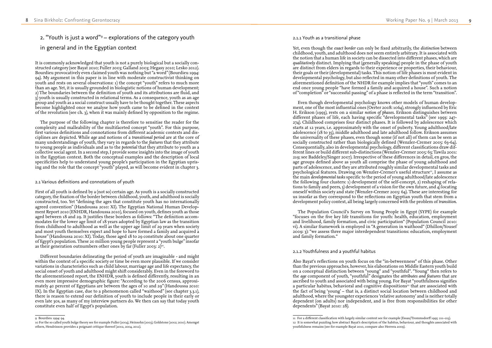### 2.1.1 Youth as a transitional phase

Yet, even though the *exact border* can only be fixed arbitrarily, the *distinction* between childhood, youth, and adulthood does not seem entirely arbitrary. It is associated with the notion that a human life in society can be dissected into different phases, which are *qualitatively* distinct. Implying that (generally speaking) people in the phase of youth are distinct from elders in regards to their experience or properties, their behaviour, their goals or their (developmental) tasks. This notion of life phases is most evident in developmental psychology, but also reflected in many other definitions of youth. The aforementioned definition of the NHDR for example implies that "youth" comes to an end once young people "have formed a family and acquired a house". Such a notion of "completion" or "successful passing" of a phase is reflected in the term "transition".

Even though developmental psychology knows other models of human develop ment, one of the most influential ones (Oerter 2008: 1064), strongly influenced by Eric H. Erikson (1993), rests on a similar *notion of phases*. Erikson distinguishes between different phases of life, each having specific "developmental tasks" (see 1993: 247- 274). Childhood comprises four distinct phases. It is followed by adolescence which starts at 12 years, i.e. approximately with the onset of puberty. Young adulthood/late adolescence (18 to 35), middle adulthood and late adulthood follow. Erikson assumes the universality of these phases, even though some (if not all) of them can be seen as socially constructed rather than biologically defined (Wenzler-Cremer 2005: 63-64). Consequentially, also in developmental psychology, different classifications draw different lines or build different sub-distinctions (Wenzler-Cremer 2005: 63; Tawila 2001: 219; see Baddeley/Singer 2007). Irrespective of these differences in detail, en gros, the age groups defined above as youth all comprise the phase of young adulthood and parts of adolescence, and they are attributed roughly similar developmental tasks and psychological features. Drawing on Wenzler-Cremer's useful structure<sup>11</sup>, I assume as the main *developmental tasks* specific to the period of young adulthood/late adolescence the following four clusters: 1) development of the self-concept, 2) reshaping of rela tions to family and peers, 3) development of a vision for the own future, and  $\ddot{q}$  locating oneself within society and state (Wenzler-Cremer 2005: 64). These are interesting for us insofar as they correspond to the reflections on Egyptian youth that stem from a development policy context, all being largely concerned with the problem of *transition* .

The Population Council's Survey on Young People in Egypt (SYPE) for example "focuses on the five key life transitions for youth: health, education, employment and livelihood, family formation, and civic participation" (Population Council 2010: vi). A similar framework is employed in "A generation in waithood" (Dhillon/Yousef 2009: 3): "we assess three major interdependent transitions: education, employment and family formation."

First of all youth is defined by a (not so) certain age. As youth is a socially constructed category, the fixation of the border between childhood, youth, and adulthood is socially constructed, too. Yet "defining the ages that constitute youth has no internationally agreed convention" (Handoussa 2010: XI). The Egyptian National Human Develop ment Report 2010 (ENHDR, Handoussa 2010), focused on youth, defines youth as those aged between 18 and 29. It justifies these borders as follows: "The definition accom modates for the lower age limit of 18 years adopted by Egyptian law as the transition from childhood to adulthood as well as the upper age limit of 29 years when society and most youth themselves expect and hope to have formed a family and acquired a house" (Handoussa 2010: XI). Today, those aged 18 to 29 constitute about one quarter of Egypt's population. These 20 million young people represent a "youth bulge" insofar as their generation outnumbers other ones by far (Fuller 2003:  $2)^{10}$ .

### 2.1.2 Youthfulness and a youthful habitus

Also Bayat's reflections on youth focus on the "in-betweenness" of this phase. Other than the previous approaches, however, his elaborations on Middle Eastern youth build on a conceptual distinction between "young" and "youthful". "Young" then refers to the *age* component of youth, "youthful" designates the *attributes and features* that are ascribed to youth and associated with being young. For Bayat "youthfulness signifies a particular habitus, behavioral and cognitive dispositions<sup>12</sup> that are associated with the fact of being 'young' – that is, a distinct social location between childhood and adulthood, where the youngster experiences 'relative autonomy' and is neither totally dependent (on adults) nor independent, and is free from responsibilities for other dependents" (Bayat 2010: 28).

## 2. "Youth is just a word" 9 – explorations of the category youth in general and in the Egyptian context

It is commonly acknowledged that youth is not a purely biological but a socially con structed category (see Bayat 2010; Fuller 2003; Galland 2003; Hegasy 2010; Lesko 2012). Bourdieu provocatively even claimed youth was nothing but "a word" (Bourdieu 1994: 94). My argument in this paper is in line with moderate constructivist thinking on youth and rests on several observations: 1) the concept "youth" refers to much more than an age. Yet, it is usually grounded in biologistic notions of human development; 2) The boundaries between the definition of youth and its attributions are fluid, and  $3)$  youth is usually constructed in relational terms. As a consequence, youth as an age group and youth as a social construct usually have to be thought together. These aspects become highlighted once we analyse how youth came to be defined in the context of the revolution (see ch. 3), when it was mainly defined by opposition to the regime.

The purpose of the following chapter is therefore to sensitise the reader for the complexity and malleability of the multifaceted concept "youth". For this purpose, first various definitions and connotations from different academic contexts and dis ciplines are depicted. While *age* and notions of a *transitional period* are at the core of many understandings of youth, they vary in regards to the *features* that they attribute to young people as individuals and as to the *potential* that they attribute to youth as a collective social agent. In a second step, I provide some insights into the image of youth in the Egyptian context. Both the conceptual examples and the description of local specificities help to understand young people's participation in the Egyptian upris ing and the role that the concept "youth" played, as will become evident in chapter 3.

### 2.1 Various definitions and connotations of youth

Different boundaries delineating the period of youth are imaginable - and might within the context of a specific society or time be even more plausible. If we consider variations in characteristics such as child labour, marriage age and life expectancy, the social onset of youth and adulthood might shift considerably. Even in the foreword to the aforementioned report, the ENHDR, youth is defined differently, resulting in an even more impressive demographic figure: "According to the 2006 census, approxi mately 40 percent of Egyptians are between the ages of 10 and 29" (Handoussa 2010: IX). In the Egyptian case, due to a phenomenon called "waithood" (see chapter 3.3.1), there is reason to extend our definition of youth to include people in their early or even late 30s, as many of my interview partners do. We then can say that today youth constitute even half of Egypt's population.

<sup>11</sup> For a different classification with largely similar content see for example (Essau/Trommsdorff 1995: 211–213). 12 It is somewhat puzzling how abstract Bayat's description of the habitus, behaviour, and thoughts associated with youthfulness remains (see for example Bayat 2010, compare also Herrera 2009).

<sup>9</sup> Bourdieu 1994: 94.

<sup>10</sup> For the so called youth bulge theory see for example Fuller (2004), Heinsohn (2003), Goldstone (2002; 2010). Amongst others, Hendrixson provides a poignant critique thereof (2002, 2004, 2012).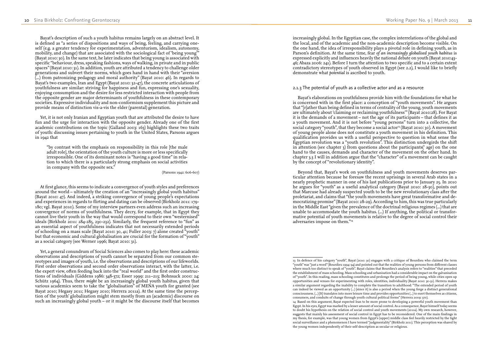increasingly global. In the Egyptian case, the complex interrelations of the global and the local, and of the academic and the non-academic description become visible. On the one hand, the idea of irresponsibility plays a pivotal role in defining youth, as in Parson's definition. At the same time, fear *of an increasingly globalised youth habitus* is expressed explicitly and influences heavily the national debate on youth (Bayat 2010:43- 46; Abaza 2006: 241). Before I turn the attention to two specific and to a certain extent contradictory stereotypes of youth observed in Egypt (see 2.2), I would like to briefly demonstrate what *potential* is ascribed to youth.

### 2.1.3 The potential of youth as a collective actor and as a resource

Bayat's elaborations on youthfulness provide him with the foundations for what he is concerned with in the first place: a conception of "youth movements". He argues that "[r]ather than being defined in terms of centrality of the young, youth movements are ultimately about 'claiming or reclaiming youthfulness'" (Bayat 2010:28). For Bayat it is the demands of a movement – not the age of its participants – that defines it as a youth movement. And it is not before "young persons" turn into a collective, the social category "youth", that they become a social actor<sup>13</sup> (Bayat 2010: 30). A movement of young people alone does not constitute a youth movement in his definition. This qualification provides us with a useful perspective to question in what sense the Egyptian revolution was a "youth revolution". This distinction undergirds the shift in attention (see chapter 3) from questions about the participants(' age) on the one hand to the causes, demands and character of the movement on the other hand. In chapter 3.3 I will in addition argue that the "character" of a movement can be caught by the concept of "revolutionary identity".

Beyond that, Bayat's work on youthfulness and youth movements deserves par ticular attention because he foresaw the recent uprisings in several Arab states in a nearly prophetic manner in one of his last publications prior to January 25. In 2010 he argues for "youth" as a useful analytical category (Bayat 2010: 28-30), points out that Marcuse had already suspected youth to be the new revolutionary class after the proletariat, and claims that "the youth movements have great transformative and de mocratizing promise" (Bayat 2010: 28-29). According to him, this was true particularly in the Middle East "given the prevalence of the doctrinal religious regimes (...) that are unable to accommodate the youth habitus. (...) If anything, the political or transfor mative potential of youth movements is relative to the degree of social control their adversaries impose on them."14

13 In defence of his category "youth", Bayat (2010: 30) engages with a critique of Bourdieu who claimed the term "youth"was "just a word" (Bourdieu 1994: 94) and pointed out that the realities of young persons from different classes where much too distinct to speak of "youth". Bayat claims that Bourdieu's analysis refers to "realities" that preceded the establishment of mass schooling. Mass schooling and urbanisation had a considerable impact on the galvanisation of "youth". In this reading, mass schooling constitutes and prolongs the period of being young, while cities open up opportunities and venues for experimenting with roles, identities, individuality (Bayat 2010: 30-31). Herrera makes a similar argument regarding the inability to complete the transition to adulthood: "The extended period of youth can indeed be viewed as an opportunity (...) [since it] is also a period when the young forge a distinct generational consciousness. (...) [It] translates into more leisure time and provides opportunities (...) to exert themselves as citizens,

Yet, a general conundrum of Social Sciences also comes to play here: these academic observations and descriptions of youth cannot be separated from our common ste reotypes and images of youth, i.e. the observations and descriptions of our lifeworlds. First order observations and second order observations interact, with the latter, i.e. the expert view, often feeding back into the "real world" and the first order construc tions of individuals (Giddens 1986: 348-372; Esser 1999: 211–213; Bohnsack 2000: 24; Schütz 1964). Thus, there *might* be an increasingly global youth habitus, given that various academics seem to take the "globalisation" of MENA youth for granted (see Bayat 2010; Hegasy 2011; Hegasy 2010; Herrera 2011a). At the same time the percep tion of the youth' globalization might stem mostly from an (academic) discourse on such an increasingly global youth  $\sim$  or it might be the discourse itself that becomes

Egypt. In his eyes, Egypt was marked by a lesser amount of social control. As a consequence, Bayat himself today seems to doubt his hypothesis on the relation of social control and youth movements (2011a). My own research, however, suggests that mainly his assessment of social control in Egypt has to be reconsidered. One of the main findings in my thesis, for example, was that young women from Egypt's (upper) middle class feel heavily restricted by the tight social surveillance and a phenomenon I have termed "judgmentality" (Birkholz 2011). This perception was shared by

Bayat's description of such a youth habitus remains largely on an abstract level. It is defined as "a series of dispositions and ways of being, feeling, and carrying one self (e.g. a greater tendency for experimentation, adventurism, idealism, autonomy, mobility, and change) that are associated with the sociological fact of 'being young'" (Bayat 2010: 30). In the same text, he later indicates that being young is associated with specific "behaviour, dress, speaking fashions, ways of walking, in private and in public spaces" (Bayat 2010: 31). In addition, youth are attributed a tendency to challenge older generations and subvert their norms, which goes hand in hand with their "aversion (...) from patronizing pedagogy and moral authority" (Bayat 2010: 46). In regards to Bayat's two examples, Iran and Egypt (Bayat 2010: 32-47), the concrete articulations of youthfulness are similar: striving for happiness and fun, expressing one's sexuality, enjoying consumption and the desire for less restricted interaction with people from the opposite gender are major determinants of youthfulness in these contemporary societies. Expressive individuality and non-conformism supplement this picture and provide means of distinction vis-a-vis the elder (parental) generation.

Yet, it is not only Iranian and Egyptian youth that are attributed the desire to have fun and the urge for interaction with the opposite gender. Already one of the first academic contributions on the topic (Galland 2003: 163) highlights these two traits of youth: discussing issues pertaining to youth in the United States, Parsons argues in 1942 that

"by contrast with the emphasis on responsibility in this role [the male adult role], the orientation of the youth culture is more or less specifically irresponsible. One of its dominant notes is "having a good time" in rela tion to which there is a particularly strong emphasis on social activities in company with the opposite sex."

(Parsons 1942: 606-607)

At first glance, this seems to indicate a convergence of youth styles and preferences around the world – ultimately the creation of an "increasingly global youth habitus" (Bayat 2010: 47). And indeed, a striking convergence of young people's expectations and experiences in regards to flirting and dating can be observed (Birkholz 2011: 179- 180; vgl. Bayat 2010). Some of my interview partners even address such an increasing convergence of norms of youthfulness. They decry, for example, that in Egypt they cannot live their youth in the way that would correspond to their own "westernised" ideals (Birkholz 2011: 284-285, 230-232). Similarly, the frequent reference to "fun" as an essential aspect of youthfulness indicates that not necessarily extended periods of schooling on a mass scale (Bayat 2010: 30, 41; Fuller 2003: 7) alone created "youth" but that economic and cultural globalisation are crucial for the formation of "youth" as a social category (see Werner 1996; Bayat 2010: 31).

consumers, and conduits of change through youth cultural political forms" (Herrera 2009: 370). 14 Based on this argument, Bayat expected Iran to be more prone to developing a powerful youth movement than the young women independently of their self-description as secular or religious.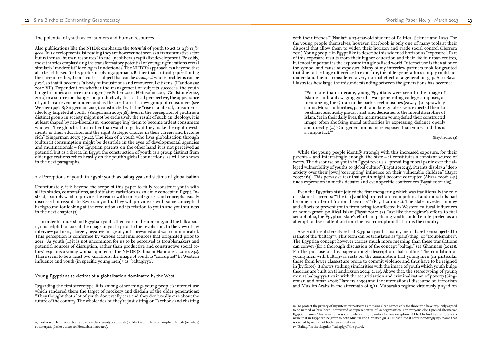with their friends" (Nadia<sup>16</sup>, a 23-year-old student of Political Science and Law). For the young people themselves, however, Facebook is only one of many tools at their disposal that allow them to widen their horizon and evade social control (Herrera 2011). Young people in Egypt like to describe this widened horizon as "exposure". Part of this exposure results from their higher education and their life in urban centres, but most important is the exposure to a globalised world. Internet use is then at once the symbol and cause of exposure. Many of my interview partners took for granted that due to the huge difference in exposure, the older generations simply could not understand them – considered a very normal effect of a generation gap. Also Bayat illustrates how large the misunderstanding between the generations has become:

"For more than a decade, young Egyptians were seen in the image of Islamist militants waging guerilla war, penetrating college campuses, or memorizing the Quran in the back street mosques (zawaya) of sprawling slums. Moral authorities, parents and foreign observers expected them to be characteristically pious, strict, and dedicated to the moral discipline of Islam. Yet in their daily lives, the mainstream young defied their constructed image, often shocking moral authorities by expressing defiance openly and directly. (...) 'Our generation is more exposed than yours, and this is a simple fact.'

A very different stereotype that Egyptian youth – mainly men – have been subjected to is that of the "baltagi"<sup>17</sup>. This term can be translated as "(paid) thug" or "troublemaker". The Egyptian concept however carries much more meaning than these translations can convey (for a thorough discussion of the concept "baltagi" see Ghannam (2012)). For the purpose of this paper a rough description shall suffice. The conflation of young men with baltagiyya rests on the assumption that young men (in particular those from lower classes) are prone to commit violence and thus have to be reigned in (by force). It shows striking similarities with the image of youth which youth bulge theories are built on (Hendrixson 2004: 2, 10). Above that, the stereotyping of young men as baltagiyya ties in with the securitisation and criminalisation of poverty (Sing erman and Amar 2006; Harders 1999) and the international discourse on terrorism and Muslim Arabs in the aftermath of  $g/11$ . Mubarak's regime virtuously played on

(Bayat 2010: 43)

While the young people identify strongly with this increased exposure, for their parents – and interestingly enough: the state – it constitutes a constant source of worry. The discourse on youth in Egypt reveals a "prevailing moral panic over the al leged vulnerability of youths to global culture" (Bayat 2010: 43). Parents display a "deep anxiety over their [own] 'corrupting' influence on their vulnerable children" (Bayat 2007: 165). This pervasive fear that youth might become corrupted (Abaza 2006: 241) finds expression in media debates and even specific conferences (Bayat 2007: 165).

Even the Egyptian state joined the fear mongering which was traditionally the role of Islamist currents: "The (...) [youth's] protection from political and moral ills had become a matter of 'national security'" (Bayat 2010: 42). The state invested money and efforts to prevent youth from being too affected by Western cultural influences or home-grown political Islam (Bayat 2010: 42). Just like the regime's efforts to fuel xenophobia, the Egyptian state's efforts in policing youth could be interpreted as an attempt to divert attention from the real corruption that ruins the country.

Unfortunately, it is beyond the scope of this paper to fully reconstruct youth with all its shades, connotations, and situative variations as an emic concept in Egypt. In stead, I simply want to provide the reader with some categories and concepts usually discussed in regards to Egyptian youth. They will provide us with some conceptual background for looking at the revolution and its relation to youth and youthfulness in the next chapter  $(3)$ .

In order to understand Egyptian youth, their role in the uprising, and the talk about it, it is helpful to look at the image of youth prior to the revolution. In the view of my interview partners, a largely negative image of youth prevailed and was communicated. This perception is confirmed by various academic sources that originated prior to 2011. "As youth (...) it is not uncommon for us to be perceived as troublemakers and potential sources of disruption, rather than productive and constructive social ac tors" explains a young woman quoted in the NHDR (Salma in Handoussa 2010: 232). There seem to be at least two variations: the image of youth as "corrupted" by Western influence and youth (in specific young men)<sup>15</sup> as "baltagiyya".

The potential of youth as consumers and human resources

Also publications like the NHDR emphasize the *potential* of youth to act as a *force for good*. In a developmentalist reading they are however not seen as a transformative actor but rather as "human resources" to fuel (neoliberal) capitalist development. Possibly, most theories emphasizing the transformatory potential of younger generations reveal similarly "modernist" ideological undertones. The NHDR's approach can beyond that also be criticised for its problem solving approach. Rather than critically questioning the current reality, it constructs a subject that can be *managed*, whose problems can be *fixed*, so that it becomes "a body of industrious and resourceful citizens" (Handoussa: 2010 VII). Dependent on whether the management of subjects succeeds, the youth bulge becomes a source for danger (see Fuller 2004; Heinsohn 2003; Goldstone 2002, 2010) or a source for change and productivity. In a critical perspective, the appearance of youth can even be understood as the creation of a new group of consumers (see Werner 1996: 8; Singerman 2007), constructed with the "rise of a liberal, consumerist ideology targeted at youth" (Singerman 2007: 38). Even if the perception of youth as a distinct group in society might not be exclusively the result of such an ideology, it is at least shaped by neo-liberalism "encourage[ing] them to become ardent consumers who will 'live globalization' rather than watch it go by if they make the right invest ments in their education and the right strategic choices in their careers and become rich" (Singerman 2007: 39-40). The idea of a youth who lives globalisation through (cultural) consumption might be desirable in the eyes of developmental agencies and multinationals – for Egyptian parents on the other hand it is not perceived as potential but as a threat. In Egypt, the construction of youth as a group distinct from older generations relies heavily on the youth's global connections, as will be shown in the next paragraphs.

### 2.2 Perceptions of youth in Egypt: youth as baltagiyya and victims of globalisation

### Young Egyptians as victims of a globalisation dominated by the West

Regarding the first stereotype, it is among other things young people's internet use which rendered them the target of mockery and disdain of the older generations: "They thought that a lot of youth don't really care and they don't really care about the future of the country. The whole idea of 'they're just sitting on Facebook and chatting

<sup>16</sup> To protect the privacy of my interview partners I am using clear names only for those who have explicitly agreed to be named or have been interviewed as representative of an organisation. For everyone else I picked alternative Egyptian names. This selection was completely random, unless for one exception: if I had to find a substitute for a name that in Egypt can be given to both Muslim and Christian girls, I substituted it correspondingly by a name that is carried by women of both denominations.

<sup>17</sup> "Baltagi" is the singular, "baltagiyya" the plural.

<sup>15</sup> Lesko and Hendrixson both show how the stereotypes of male (or: black) youth have a(n implicit) female (or: white) counterpart (Lesko 2012:9-10; Hendrixson 2004:10).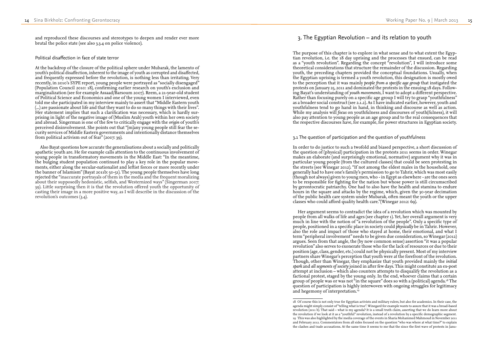## 3. The Egyptian Revolution – and its relation to youth

The purpose of this chapter is to explore in what sense and to what extent the Egyp tian revolution, i.e. the 18 day uprising and the processes that ensued, can be read as a "youth revolution". Regarding the concept "revolution", I will introduce some theoretical considerations that structure the remainder of the discussion. Regarding youth, the preceding chapters provided the conceptual foundations. Usually, when the Egyptian uprising is termed a youth revolution, this designation is mostly owed to the perception that it was mainly *people from a specific age group* that instigated the protests on January 25, 2011 and dominated the protests in the ensuing 18 days. Follow ing Bayat's understanding of *youth movements*, I want to adopt a different perspective. Rather than focusing purely on a specific age group I will try to grasp "youthfulness" as a broader social construct (see 2.1.2). As I have indicated earlier, however, youth and youthfulness tend to go hand in hand, in thinking and discourse as well as action. While my analysis will *focus* on youthfulness and discourses of youth(fulness), it will also pay attention to young people as an age group and to the real consequences that the respective discourses have, for example, for power structures in Egyptian society.

Her argument seems to contradict the idea of a revolution which was mounted by people from all walks of life and ages (see chapter 1). Yet, her overall argument is very much in line with the notion of "a revolution of the people". Only a specific type of people, positioned in a specific place in society could *physically* be in Tahrir. However, also the role and impact of those who stayed at home, their emotional, and what I term "peripheral involvement" needs to be given due consideration, so Winegar (2012) argues. Seen from that angle, the (by now common sense) assertion "it was a popular revolution" also serves to exonerate those who for the lack of resources or due to their position (age, class, gender, etc.) could not be physically present. Most of my interview partners share Winegar's perception that youth were at the forefront of the revolution. Though, other than Winegar, they emphasize that youth provided mainly the *initial spark* and *all segments of society* joined in after few days. This might constitute an ex-post attempt at inclusion – which also counters attempts to disqualify the revolution as a factional protest, staged by the young only. In the end, whoever claims that a certain group of people was or was not "in the square" does so with a (political) agenda.18 The question of participation is highly interwoven with ongoing struggles for legitimacy and hegemony of interpretation.<sup>19</sup>

### 3.1 The question of participation and the question of youthfulness

In order to do justice to such a twofold and biased perspective, a short discussion of the question of (physical) participation in the protests 2011 seems in order. Winegar makes an elaborate (and surprisingly emotional, normative) argument why it was in particular young people (from the cultured classes) that could be seen protesting in the streets (see Winegar 2012). "If not among the eldest males in the household, one generally had to have one's family's permission to go to Tahrir, which was most easily (though not always) given to young men, who - in Egypt as elsewhere - are the ones seen to be responsible for fighting for the nation but whose power is still circumscribed by gerontocratic patriarchy. One had to also have the health and stamina to endure hours in the square and attacks by the regime, which, given the 30-year decimation of the public health care system under Mubarak, often meant the youth or the upper classes who could afford quality health care."(Winegar 2012: 69).

and reproduced these discourses and stereotypes to deepen and render ever more brutal the police state (see also 3.3.4 on police violence).

### Political disaffection in face of state terror

At the backdrop of the closure of the political sphere under Mubarak, the lamento of youth's political disaffection, inherent to the image of youth as corrupted and disaffected, and frequently expressed before the revolution, is nothing less than irritating. Very recently, in 2010's SYPE report, young people were portrayed as "socially disengaged" (Population Council 2010: 18), confirming earlier research on youth's exclusion and marginalization (see for example Assaad/Barsoum 2007). Reem, a 21-year-old student of Political Science and Economics and one of the young women I interviewed, even told me she participated in my interview mainly to assert that "Middle Eastern youth (...) are passionate about life and that they want to do so many things with their lives". Her statement implies that such a clarification was necessary, which is hardly sur prising in light of the negative image of (Muslim Arab) youth within her own society and abroad. Singerman is one of the few to critically engage with the *origin* of youth's perceived disinvolvement. She points out that "[m]any young people still fear the se curity services of Middle Eastern governments and intentionally distance themselves from political activism out of fear" (2007: 39).

Also Bayat questions how accurate the generalisations about a socially and politically apathetic youth are. He for example calls attention to the continuous involvement of young people in transformatory movements in the Middle East: "In the meantime, the bulging student population continued to play a key role in the popular move ments, either along the secular-nationalist and leftist forces or more recently under the banner of Islamism" (Bayat 2011b: 50-51). The young people themselves have long rejected the "inaccurate portrayals of them in the media and the frequent moralizing about their supposedly hedonistic, selfish, and Westernized ways" (Singerman 2007: 39). Little surprising then it is that the revolution offered youth the opportunity of casting their image in a more positive way, as I will describe in the discussion of the revolution's outcomes (3.4).

<sup>18</sup> Of course this is not only true for Egyptian activists and military rulers, but also for academics. In their case, the agenda might simply consist of "telling what is true". Winegard for example wants to assure that it was a broad-based revolution (2011 b). That said – what is my agenda? It is a small truth claim, asserting that we do learn more about the revolution if we look at it as a "youthful" revolution, instead of a revolution by a specific demographic segment. 19 This was also highlighted by the media coverage of the events in Sharia Mohammed Mahmoud in November 2011 and February 2012. Commentators from all sides focused on the question "who was where at what time?" to explain the clashes and trade accusations. At the same time it seems to me that the since the first wave of protests in Janu -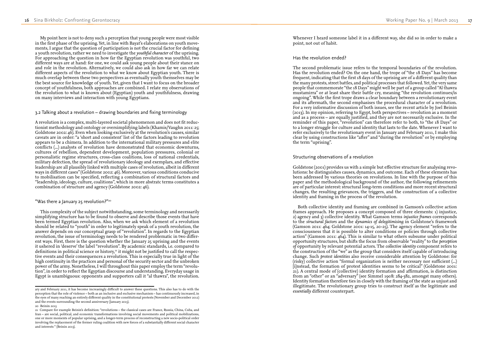Whenever I heard someone label it in a different way, she did so in order to make a point, not out of habit.

### Has the revolution ended?

The second problematic issue refers to the temporal boundaries of the revolution. Has the revolution ended? On the one hand, the trope of "the 18 Days" has become frequent, indicating that the first 18 days of the uprising are of a different quality than the many protests, street battles, and political processes that followed. Yet, the very same people that commemorate "the 18 Days" might well be part of a group called "Al thawra mustamirra" or at least share their battle cry, meaning "the revolution continues/is ongoing". While the first trope draws a clear boundary between a revolutionary event and its aftermath, the second emphasises the procedural character of a revolution. For a very informative discussion of both issues, see the recent article by Joel Beinin (2013). In my opinion, referring to Egypt, both perspectives – revolution as a moment and as a process – are equally justified, and they are not necessarily exclusive. In the reminder of this paper, "revolution" can therefore refer to both, to "the 18 Days" or to a longer struggle for culture and identity that lasts to the date. Whenever I want to refer exclusively to the revolutionary event in January and February 2011, I make this clear by using constructions like "after" and "during the revolution" or by employing the term "uprising".

### Structuring observations of a revolution

Goldstone (2001) provides us with a simple but effective structure for analysing revo lutions: he distinguishes causes, dynamics, and outcome. Each of these elements has been addressed by various theories on revolutions. In line with the purpose of this paper and the methodological background of the author, the following refinements are of particular interest: structural long-term conditions and more recent structural changes, the resulting grievances, the triggers, and the construction of a collective identity and framing in the process of the revolution.

Both collective identity and framing are combined in Gamson's collective action frames approach. He proposes a concept composed of three elements: 1) injustice, 2) agency and 3) collective identity. What Gamson terms *injustice frames* corresponds to the *structural factors* and the *dynamics of delegitimising* in Goldstone's framework (Gamson 2011: 464; Goldstone 2001: 14-15, 20-25). The agency element "refers to the consciousness that it is possible to alter conditions or policies through collective action" (Gamson 2011:  $4\overline{6}4$ ). This is similar to what others subsume under political opportunity structures, but shifts the focus from observable "reality" to the *perception of* opportunity by relevant potential actors. The *collective identity* component refers to the construction of the "we" as the group that considers itself capable of introducing change. Such *protest identities* also receive considerable attention by Goldstone: for (risky) collective action "formal organization is neither necessary nor sufficient (...) [i]nstead, the formation of protest identities seems to be critical" (Goldstone 2001: 21). A central mode of (collective) identity formation and affirmation, is distinction from an "other" or an "adversary" (see Simmel 1908: 284-382, amongst many others). Identity formation therefore ties in closely with the framing of the state as unjust and illegitimate. The revolutionary group tries to construct itself as the legitimate and *essentially* different counterpart.

My point here is not to deny such a perception that young people were most visible in the first phase of the uprising. Yet, in line with Bayat's elaborations on youth move ments, I argue that the question of participation is not the crucial factor for defining a youth revolution, rather we need to investigate the *youthful character* of the uprising. For approaching the question in how far the Egyptian revolution was youthful, two different ways are at hand: for one, we could ask young people about their stance on and role in the revolution. Alternatively, we could also ask in how far we can relate different aspects of the revolution to what we know about Egyptian youth. There is much overlap between these two perspectives as eventually youth themselves may be the best source for knowledge of youth. Yet, given that I want to focus on the broader concept of youthfulness, both approaches are combined. I relate my observations of the revolution to what is known about (Egyptian) youth and youthfulness, drawing on many interviews and interaction with young Egyptians.

### 3.2 Talking about a revolution – drawing boundaries and fixing terminology

A revolution is a complex, multi-layered societal phenomenon and does not fit reduc tionist methodology and ontology or oversimplifying labels (Khamis/Vaughn 2011: 25; Goldstone 2002: 46). Even when looking exclusively at the revolution's causes, similar caveats are in order: "a 'short and consistent' list of the factors leading to revolution appears to be a chimera. In addition to the international military pressures and elite conflicts (...) analysts of revolution have demonstrated that economic downturns, cultures of rebellion, dependent development, population pressures, colonial or personalistic regime structures, cross-class coalitions, loss of national credentials, military defection, the spread of revolutionary ideology and exemplars, and effective leadership are all plausibly linked with multiple cases of revolution, albeit in different ways in different cases" (Goldstone 2002: 46). Moreover, various conditions conducive to mobilisation can be specified, reflecting a combination of structural factors and "leadership, ideology, culture, coalitions", which in more abstratc terms constitutes a combination of structure and agency (Goldstone 2002: 46).

### "Was there a January 25 revolution?"<sup>20</sup>

This complexity of the subject notwithstanding, some terminology and necessarily simplifying structure has to be found to observe and describe those events that have been termed Egyptian revolution. Also, when we ask which element of a revolution should be related to "youth" in order to legitimately speak of a youth revolution, the answer depends on our conceptual grasp of "revolution". In regards to the Egyptian revolution, the issue of terminology needs to be rendered problematic in two differ ent ways. First, there is the question whether the January  $25$  uprising and the events it ushered in 'deserve' the label "revolution". By academic standards, i.e. compared to definitions in political science or history,<sup>21</sup> it might not be justified to call the respective events and their consequences a revolution. This is especially true in light of the high continuity in the practices and personal of the security sector and the unbroken power of the army. Nonetheless, I will throughout this paper employ the term "revolu tion", in order to reflect the Egyptian discourse and understanding. Everyday usage in Egypt is unambiguous: opponents and supporters call it "al thawra", the revolution.

ary and February 2011, it has become increasingly difficult to answer these questions. This also has to do with the perception that the role of violence – both as an inclusive and exclusive mechanism – has continuously increased, in the eyes of many reaching an entirely different quality in the constitutional protests (November and December 2012) and the events surrounding the second anniversary (January 2013).

<sup>20</sup> Beinin 2013

<sup>21</sup> Compare for example Beinin's definition: "revolutions – the classical cases are France, Russia, China, Cuba, and Iran – are social, political, and economic transformations involving social movements and political mobilizations, one or more moments of popular uprising, and a longer-term process of reconstructing a new socio-political order involving the replacement of the former ruling coalition with new forces of a substantially different social character and interests " (Beinin 2013).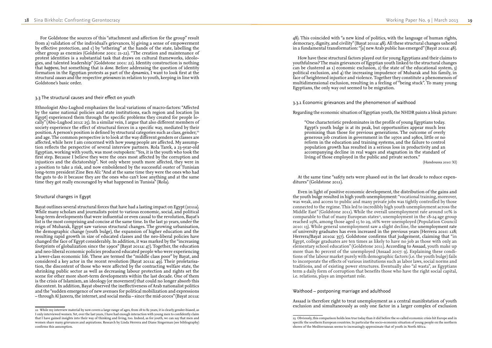48). This coincided with "a new kind of politics, with the language of human rights, democracy, dignity, and civility" (Bayat 2011a: 48). All these structural changes ushered in a fundamental transformation: "[a] new Arab public has emerged" (Bayat 2011a: 48).

How have these structural factors played out for young Egyptians and their claims to youthfulness? The main grievances of Egyptian youth linked to the structural changes can be clustered as 1) economic exclusion, 2) the state of the educational system, 3) political exclusion, and 4) the increasing impudence of Mubarak and his family, in face of heightened injustice and violence. Together they constitute a phenomenon of multidimensional exclusion, resulting in a feeling of "being stuck". To many young Egyptians, the only way out seemed to be migration.

3.3.1 Economic grievances and the phenomenon of waithood

Regarding the economic situation of Egyptian youth, the NHDR paints a bleak picture:

"One characteristic predominates in the profile of young Egyptians today. Egypt's youth bulge is at its peak, but opportunities appear much less promising than those for previous generations. The outcome of overly generous job creation in government in the 1970s and 1980s, little or no reform in the education and training systems, and the failure to control population growth has resulted in a serious loss in productivity and an accompanying decline in real wages and stagnation in the standard of living of those employed in the public and private sectors."

(Handoussa 2010: XI)

At the same time "safety nets were phased out in the last decade to reduce expen ditures" (Goldstone 2011).

Even in light of positive economic development, the distribution of the gains and the youth bulge resulted in high youth unemployment: "vocational training, moreover, was weak, and access to public and many private jobs was tightly controlled by those connected to the regime. This led to incredibly high youth unemployment across the Middle East" (Goldstone 2011). While the overall unemployment rate around 10% is comparable to that of many European states<sup>23</sup>, unemployment in the  $18$ -24 age group reached 19%, among those aged 15 to 29, 16% were unemployed (Population Council 2010: 13). While general unemployment saw a slight decline, the unemployment rate of university graduates has even increased in the previous years (Herrera 2010: 128; Herrera/Bayat 2010a: 357). Goldstone confirms that judgement, claiming that "in Egypt, college graduates are ten times as likely to have no job as those with only an elementary school education" (Goldstone 2011). According to Assaad, youth make up more than 80 percent of the unemployed (Assaad 2007: 9). Explaining these condi tions of the labour market purely with demographic factors (i.e. the youth bulge) fails to incorporate the effects of various institutions such as labor laws, social norms and traditions, and of existing power structures. Eventually also "al wasta", as Egyptians term a daily form of corruption that benefits those who have the right social capital, i.e. relations, plays an important role.

### Waithood – postponing marriage and adulthood

Assaad is therefore right to treat unemployment as a central manifestation of youth exclusion and simultaneously as only one factor in a larger complex of exclusion

For Goldstone the sources of this "attachment and affection for the group" result from a) validation of the individual's grievances, b) giving a sense of empowerment by effective protection, and c) by "othering" at the hands of the state, labelling the other group as enemies (Goldstone 2001: 21-22). "The creation and maintenance of protest identities is a substantial task that draws on cultural frameworks, ideolo gies, and talented leadership" (Goldstone 2001: 22). Identity construction is nothing that *happens*, but something that is *done.* Before addressing the question of identity formation in the Egyptian protests as part of the *dynamics*, I want to look first at the structural *causes* and the respective *grievances* in relation to youth, keeping in line with Goldstone's basic order.

### 3.3 The structural causes and their effect on youth

Ethnologist Abu-Lughod emphasizes the local variations of macro-factors: "Affected by the same national policies and state institutions, each region and location [in Egypt] experienced them through the specific problems they created for people lo cally" (Abu-Lughod 2012: 25). In a similar vein, I argue that also different members of society experience the effect of structural forces in a specific way, mediated by their position. A person's position is defined by structural categories such as class, gender, $22$ and age. The common perspective is to look at the way different genders or classes are affected, while here I am concerned with how *young* people are affected. My assump tion reflects the perspective of several interview partners. Rola Tarek, a 23-year-old Egyptian, working with youth, was most outspoken: "Yes, it is the youth who took the first step. Because I believe they were the ones most affected by the corruption and injustices and the dictatorship". Not only where youth more affected, they were in a position to take a risk, and now emboldened by the successful ouster of Tunisian long-term president Zine Ben Ali: "And at the same time they were the ones who had the guts to do it because they are the ones who can't lose anything and at the same time they got really encouraged by what happened in Tunisia" (Rola).

### Structural changes in Egypt

Bayat outlines several structural forces that have had a lasting impact on Egypt (2011a). While many scholars and journalists point to various economic, social, and political long-term developments that were influential or even causal to the revolution, Bayat's list is the most comprising and concise at the same time. In the last 30 years, under the reign of Mubarak, Egypt saw various structural changes. The growing urbanisation, the demographic change (youth bulge), the expansion of higher education and the resulting rapid growth in size of educated classes and the neo-liberal policies have changed the face of Egypt considerably. In addition, it was marked by the "increasing footprints of globalization since the 1990s" (Bayat 2011a: 47). Together, the education and neo-liberal economic policies produced educated people who were experiencing a lower-class economic life. These are termed the "middle class poor" by Bayat, and considered a key actor in the recent revolution (Bayat 2011a: 49). Their proletarisa tion, the discontent of those who were affected by the contracting welfare state, the shrinking public sector as well as decreasing labour protection and rights set the scene for other more short-term developments within the last decade. One of them is the crisis of Islamism, an ideology (or movement) that could no longer absorb this discontent. In addition, Bayat observed the ineffectiveness of Arab nationalist politics and the "sudden emergence of new avenues for political mobilization and expressions – through Al Jazeera, the internet, and social media – since the mid-2000s" (Bayat 2011a:

<sup>23</sup> Obviously, this comparison holds less true today than it did before the so called economic crisis hit Europe and in specific the southern European countries. In particular the socio-economic situation of young people on the northern shores of the Mediterranean seems to increasingly approximate that of youth in North Africa.

<sup>22</sup> While my interview material by now covers a large range of ages, from 18 to 82 years, it is clearly gender-biased, as I only interviewed women. Yet, over the last years, I have had enough interaction with young men to confidently claim that I have gained insights into their way of thinking and living, too. Indeed, as for youth, we can say that men and women share many grievances and aspirations. Research by Linda Herrera and Diane Singerman (see bibliography) confirms this assumption.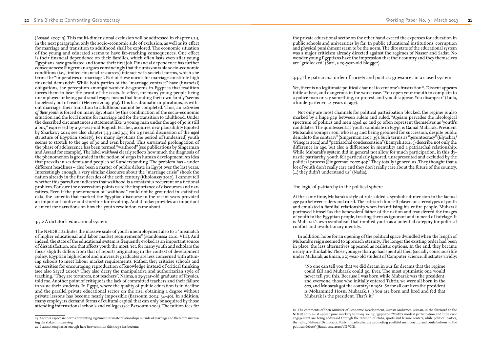the private educational sector on the other hand exceed the expenses for education in public schools and universities by far. In public educational institutions, corruption and physical punishment seem to be the norm. The dire state of the educational system was a major criticism already directed against the regimes of Nasser and Sadat. No wonder young Egyptians have the impression that their country and they themselves are "gridlocked" (Suzi, a 29-year-old blogger).

Yet, there is no legitimate political channel to vent one's frustration<sup>26</sup>. Dissent appears futile at best, and dangerous in the worst case. "You open your mouth to complain to a police man or say something, or protest, and you disappear. You disappear" (Laila, a kindergartener,  $24$  years of age).

3.3.3 The patriarchal order of society and politics: grievances in a closed system

Not only are most channels for political participation blocked, the regime is also marked by a huge gap between rulers and ruled. "Ageism pervades the ideological spectrum of politics and men aged 40 and 50 often represent themselves as 'youth's candidates. The quintessential 'youth' candidate in Egypt is Gamal Mubarak, President Mubarak's younger son, who is 43 and being groomed for succession, despite public denials to the contrary" (Singerman 2007: 39). Such terms as "gerontocracy" (Elyachar/ Winegar 2012) and "patriarchal condescension" (Bamyeh 2011: 5) describe not only the difference in age, but also a difference in mentality and a patriarchal relationship. While Mubarak's system did in general not allow for much participation, in this dy nastic patriarchy, youth felt particularly ignored, unrepresented and excluded by the political process (Singerman 2007: 40): "They totally ignored us. They thought that a lot of youth don't really care and they don't really care about the future of the country. (...) they didn't understand us" (Nadia).

"No one can tell you that we did dream in our far dreams that the regime could fall and Mubarak could go. Ever. The most optimistic one would never tell you this. Because I was born while Mubarak was the president, and everyone, those who initially entered Tahrir, we were all born in the 80s, and Mubarak got the country in 1981. So for all our lives the president is Mohammed Hosni Mubarak. (...) You are born and bred and fed that Mubarak is the president. That's it."

The logic of patriarchy in the political sphere

At the same time, Mubarak's style of rule added a symbolic dimension to the factual age gap between rulers and ruled. The patriarch himself played on stereotypes of youth and emulated a familial relationship when infantilising his entire people. Mubarak portrayed himself as the benevolent father of the nation and transferred the images of youth to the Egyptian people, treating them as ignorant and in need of tutelage. It is Mubarak's own symbolism that implied youth as a potential category for political conflict and revolutionary identity.

In addition, hope for an opening of the political space dwindled when the length of Mubarak's reign seemed to approach eternity. The longer the existing order had been in place, the less alternatives appeared as realistic options. In the end, they became nearly un-thinkable. Those younger than 40 had spent all their (socially conscious) life under Mubarak, as Eman, a 23-year-old student of Computer Science, illustrates vividly:

NHDR 2010 must appear pure mockery to many young Egyptians: "Youth's modest participation and little civic engagement are being addressed through the creation of clubs, sports and leisure centers, while political parties, the ruling National Democratic Party in particular, are promoting youthful membership and contributions to the

(Assaad 2007: 9). This multi-dimensional exclusion will be addressed in chapter 3.1.5, in the next paragraphs, only the socio-economic side of exclusion, as well as its effect for marriage and transition to adulthood shall be explored. The economic situation of the young and educated seems to have far-reaching consequences. One effect is their financial dependence on their families, which often lasts even after young Egyptians have graduated and found their first job. Financial dependence has further consequences: Singerman argues convincingly that the unfavourable socio-economic conditions (i.e., limited financial resources) interact with societal norms, which she terms the "imperatives of marriage". Part of these norms for marriage constitute high financial demands<sup>24</sup>. While both parties of the "marriage contract" have (financial) obligations, the perception amongst want-to-be-grooms in Egypt is that tradition forces them to bear the brunt of the costs. In effect, for many young people being unemployed or being paid small wages means that founding their own family "seems hopelessly out of reach" (Herrera 2009: 369). This has dramatic implications, as with out marriage, their transition to adulthood cannot be completed. Thus, an *extension of their youth* is forced on many Egyptians by this combination of the socio-economic situation and the local norms for marriage and for the transition to adulthood. Under the described circumstances a statement like "a young man under the age of 30 is still a boy," expressed by a 50-year-old English teacher, acquires new plausibility (quoted by Sharkawy 2011; see also chapter 3.3.3 and 3.3.5 for a general discussion of the *aged* structure of Egyptian society). For many Egyptians the period of (undesired) youth seems to stretch to the age of 30 and even beyond. This unwanted prolongation of the phase of adolescence has been termed "waithood" (see publications by Singerman and Assaad for example). The label wait*hood* clearly reflects how much the diagnosis of the phenomenon is grounded in the notion of *stages* in human development. An idea that prevails in academia and people's self-understanding. The problem has – under different headlines – also been a matter of public debate in Egypt over the last years. Interestingly enough, a very similar discourse about the "marriage crisis" shook the nation already in the first decades of the 20th century (Kholoussy 2010). I cannot tell whether this parralism indicates that waithood is a constant, a recurrent or a fictional problem. For sure the observation points us to the importance of discourses and nar ratives. Even if the phenomenon of "waithood" could not be grounded in statistical data, the lamento that marked the Egyptian discourse in the recent years provided an important motive and storyline for revolting. And it today provides an important element for narrations on how the youth revolution came about.

### 3.3.2 A dictator's educational system

The NHDR attributes the massive scale of youth unemployment also to a "mismatch of higher educational and labor market requirements" (Handoussa 2010: VIII). And indeed, the state of the educational system is frequently evoked as an important source of dissatisfaction, one that affects youth the most. Yet, for many youth and scholars the focus slightly differs from that of reports originating in the context of development policy. Egyptian high school and university graduates are less concerned with attun ing schools to meet labour market requirements. Rather, they criticise schools and universities for encouraging reproduction of knowledge instead of critical thinking (see also Sayed 2010).25 They also decry the manipulative and authoritarian style of teaching. "They are torturers, not teachers", Naima, a 23-year-old graduate of Physics, told me. Another point of critique is the lack of committed teachers and their failure to value their students. In Egypt, where the quality of public education is in decline and the parallel private educational sector on the rise, obtaining a degree without private lessons has become nearly impossible (Barsoum 2004: 34–40). In addition, many employers demand forms of cultural capital that can only be acquired by those attending international schools and colleges (see Barsoum 2004). The tuition fees for

<sup>26</sup> The comments of then Minister of Economic Development, Osman Mohamed Osman, in the foreword to the political debate" (Handoussa 2010: VII-VIII).

<sup>24</sup> Another aspect are norms preventing legitimate intimate relationships outside of marriage and therefore increas ing the stakes in marrying.

<sup>25</sup> I cannot emphasize enough here *how* common this trope has become.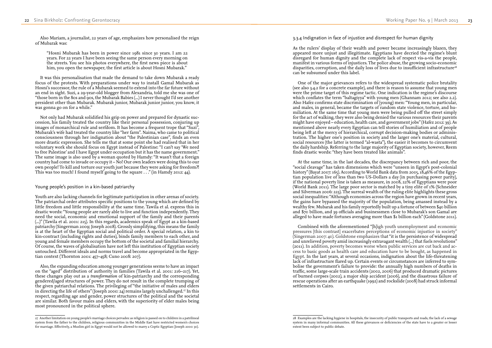3.3.4 Indignation in face of injustice and disrespect for human dignity

As the rulers' display of their wealth and power became increasingly blazen, they appeared more unjust and illegitimate. Egyptians have decried the regime's blunt disregard for human dignity and the complete lack of respect vis-a-vis the people, manifest in various forms of injustices. The police abuse, the growing socio-economic disparities, corruption, and the daily loss of lives due to insufficient infrastructure<sup>28</sup> can be subsumed under this label.

One of the major grievances refers to the widespread systematic police brutality (see also 3.4.2 for a concrete example), and there is reason to assume that young men were the prime target of this regime tactic. One indication is the regime's discourse which conflates the term "baltagiyya" with young men (Ghannam 2012; see also 2.2). Also Hafez confirms state discrimination of (young) men: "Young men, in particular, and males, in general, became the targets of random state violence, torture, and hu miliation. At the same time that young men were being pulled off the street simply for the act of walking, they were also being denied the various resources their parents might have enjoyed – education, health care, and government jobs" (Hafez 2012: 39). As mentioned above nearly every Egyptian can tell stories of humiliation and of people being left at the mercy of hierarchical, corrupt decision-making bodies or adminis tration. The higher one's position in society and the larger one's material, cultural, social resources (the latter is termed "al-wasta"), the easier it becomes to circumvent the daily hardship. Referring to the large majority of Egyptian society, however, Reem finds drastic words: "they have been treated like animals".

At the same time, in the last decades, the discrepancy between rich and poor, the "social cleavage" has taken dimensions which were "unseen in Egypt's post-colonial history" (Bayat 2007: 165). According to World Bank data from 2005, 18,46% of the Egyp tian population live of less than two US-Dollars a day (in purchasing power parity), if the national poverty line is taken as measure, in 2008, 22% of Egyptians were poor (World Bank 2011). The large poor sector is matched by a tiny elite of 1% (Schneider and Silverman 2006: 223). The surreal wealth of the ruling elite highlights these gross social inequalities: "Although economies across the region have grown in recent years, the gains have bypassed the majority of the population, being amassed instead by a wealthy few. Mubarak and his family reportedly built up a fortune of between \$40 billion and \$70 billion, and 39 officials and businessmen close to Mubarak's son Gamal are alleged to have made fortunes averaging more than \$1 billion each" (Goldstone 2011).

Combined with the aforementioned "[h]igh youth unemployment and economic pressures [this contrast] exacerbates perceptions of economic injustice in society" (Singerman 2007: 40). Goldstone emphasizes that "it is the persistence of widespread and unrelieved poverty amid increasingly extravagant wealth (...) that fuels revolutions" (2011). In addition, poverty becomes worse when public services are cut back and ac cess to basic goods as health care and education have to be bought, as happened in Egypt. In the last years, at several occasions, indignation about the life-threatening lack of infrastructure flared up. Certain events or circumstances are inferred to sym bolise the government's failure to provide: the annually high numbers of deaths in traffic, some large-scale train accidents (2002, 2006) that produced dramatic pictures of burned corpses (2002), a major ship accident (2006), and the disastrous failure of rescue operations after an earthquake (1992) and rockslide (2008) had struck informal settlements in Cairo.

28 Examples are the lacking hygiene in hospitals, the insecurity of public transports and roads, the lack of a sewage system in many informal communities. All these grievances or deficiencies of the state have to a greater or lesser

Also Mariam, a journalist, 22 years of age, emphasizes how personalised the reign of Mubarak was:

"Hosni Mubarak has been in power since 1981 since 30 years. I am 22 years. For 22 years I have been seeing the same person every morning on the streets. You see his photos everywhere, the first news piece is about him, you open the newspaper, the first article is about Hosni Mubarak."

It was this personalisation that made the demand to take down Mubarak a ready focus of the protests. With preparations under way to install Gamal Mubarak as Hosni's successor, the rule of a Mubarak seemed to extend into the far future without an end in sight. Suzi, a 29-year-old blogger from Alexandria, told me she was one of "those born in the 80s and 90s, the Mubarak Babies (...) I never thought I'd see another president other than Mubarak. Mubarak junior, Mubarak junior junior, you know, it was gonna go on for a while."

Not only had Mubarak solidified his grip on power and prepared for dynastic suc cession, his family treated the country like their personal possession, conjuring up images of monarchical rule and serfdom. It has become a frequent trope that "Suzi", Mubarak's wife had treated the country like "her farm". Naima, who came to political consciousness through her indignation about "the Palestinian case", finds an even more drastic expression. She tells me that at some point she had realised that in her voluntary work she should focus on Egypt instead of Palestine: "I can't say 'We need to free Palestine' and I have Egypt under occupation but it has the name government." The same image is also used by a woman quoted by Hamdy: "It wasn't that a foreign country had come to invade or occupy it – No! Our own leaders were doing this to our own people! To kill and torture our youth just because they were asking for freedom?! This was too much! I found myself going to the square . . ." (in Hamdy 2012: 44).

### Young people's position in a kin-based patriarchy

Youth are also lacking channels for legitimate participation in other arenas of society. The patriarchal order attributes specific positions to the young which are defined by little freedom and little responsibility at the same time. Tawila et al. express this in drastic words: "Young people are rarely able to live and function independently. They need the social, economic and emotional support of the family and their parents (...)" (Tawila et al. 2001: 215). In this regards, academics speak of Egypt as a kin-based patriarchy (Singerman 2009; Joseph 2008). Grossly simplifying, this means the family is at the heart of the Egyptian social and political order. A special relation, a kin to kin-contract (including rights and duties), binds family members to each other, and young and female members occupy the bottom of the societal and familial hierarchy. Of course, the waves of globalisation have not left this institution of Egyptian society untouched. Different ideals and norms travel and become appropriated in the Egyp tian context (Thornton 2001: 457–458; Cuno 2008: 207).

Also, the expanding education among younger generations seems to have an impact on the "aged" distribution of authority in families (Tawila et al. 2001: 216–217). Yet, these changes play out as a *transformation* of kin-patriarchy and the corresponding gendered/aged structures of power. They do not result in the complete trumping of the given patriarchal relations. The privileging of "the initiative of males and elders in directing the life of others" (Joseph 2000: 24) remains largely unchallenged.<sup>27</sup> In this respect, regarding age and gender, power structures of the political and the societal are similar. Both favour males and elders, with the superiority of elder males being most pronounced in the political sphere.

extent been subject to public debate.

<sup>27</sup> Another limitation on young people's marriage choices pervades: as religion is passed on to children in a patrilineal system from the father to the children, religious communities in the Middle East have restricted women's choices for marriage. Effectively, a Muslim girl in Egypt would not be allowed to marry a Coptic Egyptian (Joseph 2000: 30).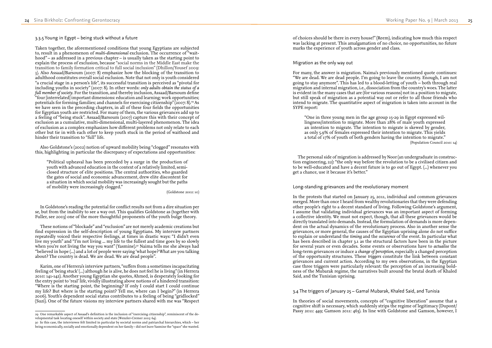of choices should be there in every house!" (Reem), indicating how much this respect was lacking at present. This amalgamation of no choice, no opportunities, no future marks the experience of youth across gender and class.

### Migration as the only way out

For many, the answer is migration. Naima's previously mentioned quote continues: "We are dead. We are dead people. I'm going to leave the country. Enough, I am not going to stay anymore". This has led to a blood-letting of youth – both through real migration and internal migration, i.e., dissociation from the country's woes. The latter is evident in the many cases that are (for various reasons) not in a position to migrate, but still speak of migration as a potential way out or refer to all those friends who intend to migrate. The quantitative aspect of migration is taken into account in the SYPE report:

"One in three young men in the age group 15-29 in Egypt expressed wil lingness/intention to migrate. More than 28% of male youth expressed an intention to migrate. The intention to migrate is skewed by gender, as only 5.9% of females expressed their intention to migrate. This yields a total of 17% of youth of both genders having the intention to migrate." (Population Council 2010: 14)

The personal side of migration is addressed by Noor (an undergraduate in construc tion engineering, 22): "the only way before the revolution to be a civilised citizen and to be well-educated and have a decent future is to go out of Egypt. (...) whenever you get a chance, use it because it's better."

Long-standing grievances and the revolutionary moment

In the protests that started on January 25, 2011, individual and common grievances merged. More than once I heard from wealthy revolutionaries that they were defending other people's right to a decent standard of living. Following Goldstone's argument, I assume that validating individual grievances was an important aspect of forming a collective identity. We must not expect, though, that all these grievances would be directly translated into demands. Instead, the formulation of demands is more depen dent on the actual dynamics of the revolutionary process. Also in another sense the grievances, or more general, the causes of the Egyptian uprising alone do not suffice to explain or understand the *timing* and the *occurence* of the event. In particular what has been described in chapter 3.1 as the structural factors have been in the picture for several years or even decades. Some events or observations have to *actualise* the long-term grievances or induce a *change of perception*, especially a changed perception of the opportunity structures. These *triggers* constitute the link between constant grievances and current action. According to my own observations, in the Egyptian case three triggers were particularly relevant: the perception of an increasing bold ness of the Mubarak regime, the narratives built around the brutal death of Khaled Said, and the Tunisian uprising.

### 3.4 The triggers of January 25 – Gamal Mubarak, Khaled Said, and Tunisia

In theories of social movements, concepts of "cognitive liberation" assume that a cognitive shift is necessary, which suddenly strips the regime of legitimacy (Dupont/ Passy 2011: 449; Gamson 2011: 463). In line with Goldstone and Gamson, however, I

### 3.3.5 Young in Egypt – being stuck without a future

Taken together, the aforementioned conditions that young Egyptians are subjected to, result in a phenomenon of *multi-dimensional* exclusion. The occurrence of "wait hood" – as addressed in a previous chapter – is usually taken as the starting point to explain the process of exclusion, because "social norms in the Middle East make the transition to family formation critical to full social inclusion" (Dhillon/Yousef 2009: 3). Also Assaad/Barsoum (2007: 8) emphasize how the blocking of the transition to adulthood constitutes overall social exclusion. Note that not only is youth considered "a crucial stage in a person's life", its successful transition is perceived as "pivotal for including youths in society" (2007: 8). In other words: *only adults obtain the status of a full member of society*. For the transition, and thereby inclusion, Assaad/Barsoum define "four [interrelated] important dimensions: education and learning; work opportunities; potentials for forming families; and channels for exercising citizenship"  $(2007: 8)$ .<sup>29</sup> As we have seen in the preceding chapters, in all of these four fields the opportunities for Egyptian youth are restricted. For many of them, the various grievances add up to a feeling of "being stuck". Assaad/Barsoum (2007) capture this with their concept of exclusion as a cumulative, multi-dimensional, multi-layered phenomenon. The idea of exclusion as a complex emphasizes how different problems not only relate to each other but tie in with each other to keep youth stuck in the period of waithood and hinder their transition to "full" life.

Also Goldstone's (2002) notion of upward mobility being "clogged" resonates with this, highlighting in particular the discrepancy of expectations and opportunities:

"Political upheaval has been preceded by a surge in the production of youth with advanced education in the context of a relatively limited, semiclosed structure of elite positions. The central authorities, who guarded the gates of social and economic advancement, drew elite discontent for a situation in which social mobility was increasingly sought but the paths of mobility were increasingly clogged."

(Goldstone 2002: 10)

In Goldstone's reading the potential for conflict results not from a dire situation per se, but from the inability to see a way out. This qualifies Goldstone as (together with Fuller, see 2003) one of the more thoughtful proponents of the youth bulge theory.

These notions of "blockade" and "exclusion" are not merely academic creations but find expression in the self-description of young Egyptians. My interview partners repeatedly voiced their respective feelings, at times in drastic ways: "I didn't even live my youth" and "I'm not living ... my life to the fullest and time goes by so slowly when you're not living the way you want" (Yasmine).<sup>30</sup> Naima tells me she always had "believed in hope (...) and a lot of people were saying 'what hope? What are you talking about? The country is dead. We are dead. We are dead people".

Karim, one of Herrera's interview partners, "suffers from a sometimes incapacitating feeling of 'being stuck' (...) although he is alive, he does not feel he is living" (in Herrera 2010: 141-142). Another young Egyptian she quotes, Ahmed, is desperately looking for the entry point to 'real' life, vividly illustrating above notions of a hindered transition: "Where is the starting point, the beginning? If only I could start I could continue my life? But where is the starting point? Tell me, where can I begin?" (in Herrera 2006). Youth's dependent social status contributes to a feeling of being "gridlocked" (Suzi). One of the future visions my interview partners shared with me was "Respect

<sup>29</sup> One remarkable aspect of Assaad's definition is the inclusion of "exercising citizenship", reminiscent of the de velopmental task locating oneself within society and state (Wenzler-Cremer 2005: 64).

<sup>30</sup> In this case, the interviewee felt limited in particular by societal norms and patriarchal hierarchies, which – her being economically, socially and emotionally dependent on her family – did not leave Yasmine the "space" she wanted.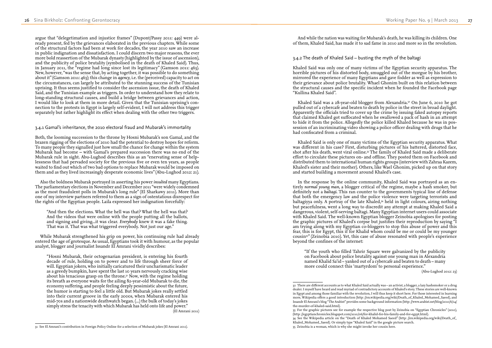And while the nation was waiting for Mubarak's death, he was killing its children. One of them, Khaled Said, has made it to sad fame in 2010 and more so in the revolution.

### 3.4.2 The death of Khaled Said – busting the myth of the baltagi

Khaled Said was only one of many victims of the Egyptian security apparatus. The horrible pictures of his distorted body, smuggled out of the morgue by his brother, mirrored the experience of many Egyptians and gave fodder as well as expression to their grievance about police brutality. Whael Ghonim built on this relation between the structural causes and the specific incident when he founded the Facebook page "Kullina Khaled Said".

Khaled Said was a 28-year-old blogger from Alexandria.32 On June 6, 2010 he got pulled out of a cybercafe and beaten to death by police in the street in broad daylight. Apparently the officials tried to cover up the crime by issuing faked autopsy reports that claimed Khaled got suffocated when he swallowed a pack of hash in an attempt to hide it from the police. Allegedly the police killed Khaled because he was in pos session of an incriminating video showing a police officer dealing with drugs that he had confiscated from a criminal.

"If the youth who filled Tahrir Square were galvanized by the publicity on Facebook about police brutality against one young man in Alexandria named Khalid Sa'id – yanked out of a cybercafe and beaten to death – many more could connect this 'martyrdom' to personal experience."

Khaled Said is only one of many victims of the Egyptian security apparatus. What was different in his case? First, disturbing pictures of his battered, distorted face, shot after his death, went viral online.33 The family of Khaled Said made a deliberate effort to circulate these pictures on- and offline. They posted them on Facebook and distributed them to international human rights groups (interview with Zahraa Kazem, Khaled's sister and their mother). Others, like Wael Ghonim, picked up on that story and started building a movement around Khaled's case.

In the response by the online community, Khaled Said was portrayed as an en tirely *normal young man*, a blogger critical of the regime, maybe a hash smoker, but definitely not a *baltagi*. This ran counter to the governments typical line of defense that both the emergency law and the police violence were targeting terrorists and baltagiyya only. A portray of the late Khaled, $34$  held in light colours, airing nothing but peacefulness, went a long way to discredit any attempt at making Khaled Said a dangerous, violent, self-serving baltagi. Many Egyptian internet users could associate with Khaled Said. The well-known Egyptian blogger Zeinobia apologises for posting the graphic pictures of Khaled's corpse but justifies their reproduction by saying "I am trying along with my Egyptian co-bloggers to stop this abuse of power and this fear, this is for Egypt, this if for Khalid whom could be me or could be my younger cousin35" (Zeinobia 2010). Yet, this case of abuse resonated with people's experience beyond the confines of the internet:

(Abu-Lughod 2012: 23)

32 There are different accounts as to what Khaled Said actually was – an activist, a blogger, a lazy hashsmoker or a drug dealer. I myself have heard and read myriad of contradictory accounts of Khaled's story. These stories are well-known in Egypt and among those familiar with the revolution, I will thus keep it short here. For those interested in learning more, Wikipedia offers a good introduction (http: //en.wikipedia.org/wiki/Death\_of\_Khaled\_Mohamed\_Saeed), and Issandr El Amrani's blog "The Arabist" provides some background information (http: //www.arabist.net/blog/2010/6/14/

33 For the graphic pictures see for example the respective blog post by Zeinobia on "Egyptian Chronicles" (2010),

argue that "delegetimation and injustice frames" (Dupont/Passy 2011: 449) were al ready present, fed by the grievances elaborated in the previous chapters. While some of the structural factors had been at work for decades, the year 2010 saw an increase in public indignation and dissatisfaction. I could discern two major reasons, the ever more bold reassertion of the Mubarak dynasty (highlighted by the issue of ascension), and the publicity of police brutality (symbolised in the death of Khaled Said). Thus, in January 2011, the <sup>*a*</sup> regime had long since lost its legitimacy" (Gamson 2011: 463). New, however, "was the sense that, by acting together, it was possible to do something about it" (Gamson 2011: 463); this change in *agency*, i.e. the (perceived) capacity to act on the circumstances, can largely be attributed to the stunning success of the Tunisian uprising. It thus seems justified to consider the ascension issue, the death of Khaled Said, and the Tunisian example as triggers. In order to understand how they relate to long-standing structural causes, and build a bridge between grievances and action, I would like to look at them in more detail. Given that the Tunisian uprising's con nection to the protests in Egypt is largely self-evident, I will not address this trigger separately but rather highlight its effect when dealing with the other two triggers.

### 3.4.1 Gamal's inheritance, the 2010 electoral fraud and Mubarak's immortality

Both, the looming succession to the throne by Hosni Mubarak's son Gamal, and the brazen rigging of the elections of 2010 had the potential to destroy hopes for reform. To many people they signalled just how small the chance for change within the system Mubarak had become – with Gamal's prepared succession there was no end of the Mubarak rule in sight. Abu-Lughod describes this as an "enervating sense of help lessness that had pervaded society for the previous five or even ten years, as people waited to find out which of two bad options to replace Mubarak would be imposed on them and as they lived increasingly desperate economic lives" (Abu-Lughod 2012: 21).

Also the boldness Mubarak portrayed in asserting his power *insulted* many Egyptians. The parliamentary elections in November and December 2011 "were widely condemned as the most fraudulent polls in Mubarak's long rule" (El Sharkawy 2011). More than one of my interview partners referred to them as a sign of ostentatious disrespect for the rights of the Egyptian people. Laila expressed her indignation forcefully:

"And then the elections. What the hell was that? What the hell was that? And the videos that were online with the people putting all the ballots, and signing and giving...it was clear. *Everybody* knew it was a fake thing. That was it. That was what triggered everybody. Not just our age."

While Mubarak strengthened his grip on power, his continuing rule had already entered the age of grotesque. As usual, Egyptians took it with humour, as the popular analyst, blogger and journalist Issandr El Amrani vividly describes:

"Hosni Mubarak, their octogenarian president, is entering his fourth decade of rule, holding on to power and to life through sheer force of will. Egyptian jokers, who initially caricatured their uncharismatic leader as a greedy bumpkin, have spent the last 10 years nervously cracking wise about his tenacious grasp on the throne.<sup>31</sup> Now, with the regime holding its breath as everyone waits for the ailing 82-year-old Mubarak to die, the economy suffering, and people feeling deeply pessimistic about the future, the humor is starting to feel a little old. But Mubarak jokes really settled into their current groove in the early 2000s, when Mubarak entered his mid-70s and a nationwide deathwatch began. (...) the bulk of today's jokes simply stress the tenacity with which Mubarak has held onto life and power."

(El Amrani 2011)

the-murder-of-khaled-said.html).

<sup>(</sup>http: //egyptianchronicles.blogspot.com/2010/06/for-khalid-for-his-family-and-for-egypt.html). 34 See the Wikipedia article on the "Death of Khaled Mohamed Saeed" (http: //en.wikipedia.org/wiki/Death\_of\_ Khaled\_Mohamed\_Saeed). Or simply type "Khaled Said" in the google picture search. 35 Zeinobia is a woman, which is why she might invoke her cousin here.

<sup>31</sup> See El Amrani's contribution in Foreign Policy Online for a selection of Mubarak jokes (El Amrani 2011).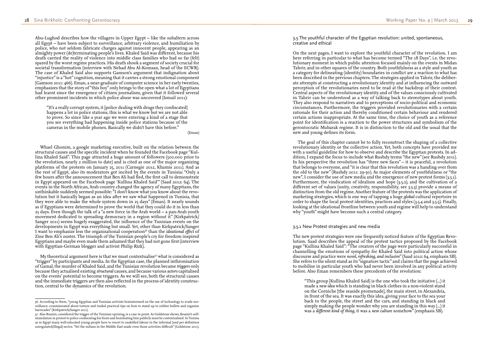3.5 The youthful character of the Egyptian revolution: united, spontaneous, creative and ethical

On the next pages, I want to explore the youthful character of the revolution. I am here referring in particular to what has become termed "The 18 Days", i.e. the revo lutionary moment in which public attention focused mainly on the events in Midan Tahrir, and in other squares of the country. Both youthfulness as a style and youth as a category for delineating (identity) boundaries in conflict are a reaction to what has been described in the previous chapters. The strategies applied in Tahrir, the deliber ate attempts at constructing a revolutionary identity and at influencing the outward perception of the revolutionaries need to be read at the backdrop of their context. Central aspects of the revolutionary identity and of the values consciously cultivated in Tahrir can be understood as a way of talking back to stereotypes about youth. They also respond to narratives and to perceptions of socio-political and economic circumstances. Furthermore, the triggers provided revolutionaries with a certain rationale for their action and thereby conditioned certain behaviour and rendered certain actions inappropriate. At the same time, the choice of youth as a reference point for identification is a reaction to the power structures and symbolism of the gerontocratic Mubarak regime. It is in distinction to the old and the usual that the new and young defines its form.

The goal of this chapter cannot be to fully reconstruct the shaping of a collective revolutionary identity or the collective action. Yet, both concepts have provided me with a useful guideline for how to observe and describe the Egyptian protests. In ad dition, I expand the focus to include what Rushdy terms "the new" (see Rushdy 2011). In his perspective the revolution has "three new faces" – it is peaceful, a revolution that belongs to everyone, and "it is clear that this revolution was a handing over from the old to the new" (Rushdy 2011: 29-30). As major elements of youthfulness or "the new", I consider the use of new media and the emergence of new protest forms (3.5.1). Furthermore, the vindication of idealism and hope  $(3,5,2)$ , and the cultivation of a different set of values (unity, creativity, responsibility, see 3.5.3) provide a means of distinction from the old regime. Another feature of the protests was the application of marketing strategies, which is one way of tapping a huge *global* cultural repertoire in order to shape the local protest identities, practices and styles (3.5.4 and 3.5.5). Finally, looking at the ideational frontline between youth and regime will help to understand why "youth" might have become such a central category.

### 3.5.1 New Protest strategies and new media

The new protest strategies were one frequently noticed feature of the Egyptian Revo lution. Saad describes the appeal of the protest tactics proposed by the Facebook page "Kullina Khaled Said": "The creators of the page were particularly successful in channelling the emotions of sympathy for Khaled Said into political action whose discourse and practice were *novel, refreshing, and inclusive*" (Saad 2012: 64, emphasis SB). She refers to the silent stand as its "signature tactic" and claims that the page achieved to mobilise in particular youth who had never been involved in any political activity before. Also Eman remembers these precedents of the revolution:

"This group [Kullina Khaled Said] is the one who took the initiative (...) it made a *new idea* which is standing in black clothes in a non-violent stand on the Corniche [the seaside promenade], the main street, in Alexandria, in front of the sea. It was exactly this idea, giving your face to the sea your back to the people, the street and the cars, and standing in black and simply making the people wonder why you are standing in this way (...) it was a *different kind of thing*, it was a *new culture* somehow" (emphasis SB).

My theoretical argument here is that we must contextualise<sup>37</sup> what is considered as "trigger" by participants and media. In the Egyptian case, the planned inthronisation of Gamal, the murder of Khaled Said, and the Tunisian revolution became *triggers* only because they actualised existing *structural* causes, and because various *actors* capitalised on the events' potential to become triggers. As we will see, both the structural causes and the immediate triggers are then also reflected in the process of identity construc tion, central to the dynamics of the revolution.

Abu-Lughod describes how the villagers in Upper Egypt – like the subaltern across all Egypt – have been subject to surveillance, arbitrary violence, and humiliation by police, who not seldom fabricate charges against innocent people, appearing as an almighty power (de)terminating people's lives. Khaled Said was different, because his death carried the reality of violence into middle class families who had so far (felt) spared by the worst regime practices. His death shook a segment of society crucial for societal transformation (interview with Nehad Abu Al-Komsan, head of the ECWR). The case of Khaled Said also supports Gamson's argument that indignation about "injustice" is a "hot" cognition, meaning that it carries a strong emotional component (Gamson 2011: 466). Eman, a near-graduate of computer science in her early twenties, emphasizes that the story of "this boy" only brings to the open what a lot of Egyptians had learnt since the emergence of citizen journalism, given that it followed several other prominent incidents in which police abuse was uncovered (Ismail 2011):

"It's a really corrupt system, it [police dealing with drugs they confiscated] happens a lot in police stations, this is what we know but we are not able to prove. So since like a year ago we were entering a kind of a stage that you see everything bad happening inside police stations because of the cameras in the mobile phones. Basically we didn't have this before."

(Eman)

Whael Ghonim, a google marketing executive, built on the relation between the structural causes and the specific incident when he founded the Facebook page "Kul lina Khaled Said". This page attracted a huge amount of followers (500.000 prior to the revolution, nearly 2 million to date) and is cited as one of the major organizing platforms of the protests on January 25, 2011 (Carnegie 2012, Khamis 2011). And as the rest of Egypt, also its moderators got incited by the events in Tunisia: "Only a few hours after the announcement that Ben Ali had fled, the first call to demonstrate in Egypt appeared on the Facebook page 'Kullina Khaled Said'" (Saad 2012: 64). The events in the North African, Arab country changed the agency of many Egyptians, the unthinkable suddenly seemed possible: "I don't know what you know about the revo lution but it basically began as an idea after we saw what happened in Tunisia, that they were able to make the whole system down in 25 days" (Eman). It nearly sounds as if Egyptians were determined to prove the world that they could do it in less than 25 days. Even though the talk of a "a new force in the Arab world – a pan-Arab youth movement dedicated to spreading democracy in a region without it" (Kirkpatrick/ Sanger 2011) seems hugely exaggerated, the influence of the Tunisian events on the developments in Egypt was everything but small. Yet, other than Kirkpatrick/Sanger I want to emphasize less the organisational cooperation<sup>36</sup> than the *ideational effect* of Zine Ben Ali's ouster. The triumph of the Tunisian people's cry for freedom inspired Egyptians and maybe even made them ashamed that they had not gone first (interview with Egyptian-German blogger and activist Philip Rizk).

<sup>36</sup> According to them, "young Egyptian and Tunisian activists brainstormed on the use of technology to evade sur veillance, commiserated about torture and traded practical tips on how to stand up to rubber bullets and organize barricades" (Kirkpatrick/Sanger 2011).

<sup>37</sup> Also Boazizi, considered the trigger of the Tunisian uprising, is a case in point. As Goldstone shows, Boazizi's selfimmolation in protest to police confiscating his fruits and humiliating him publicly must be contextualised. In Tunisia as in Egypt many well-educated young people have to resort to unskilled labour in the informal (and per definition unregulated/illegal) sector. "Yet the sultans in the Middle East made even those activities difficult" (Goldstone 2011).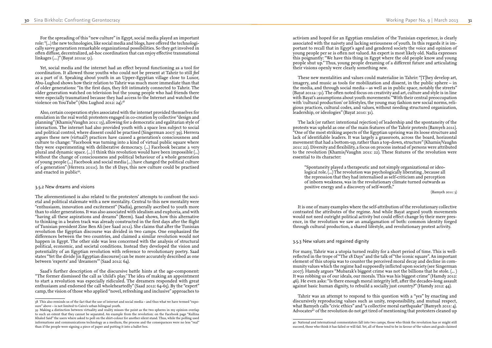activism and hoped for an Egyptian emulation of the Tunisian experience, is clearly associated with the naivety and lacking seriousness of youth. In this regards it is im portant to recall that in Egypt's aged and gendered society the voice and opinion of young people per se is often not valued. An expert is most likely old. Nadia expresses this poignantly: "We have this thing in Egypt where the old people know and young people shut up." Thus, young people dreaming of a different future and articulating their visions openly were clearly something *new*.

These new mentalities and values could materialise in Tahrir: "[T]hey develop art, imagery, and music as tools for mobilization and dissent, in the public sphere – in the media, and through social media – as well as in public space, notably the streets" (Bayat 2011a : 51). The often noted focus on creativity and art, culture and style is in line with Bayat's assumptions about youth movements: "With their central preoccupation with 'cultural production' or lifestyles, the young may fashion new social norms, reli gious practices, cultural codes, and values, without needing structured organization, leadership, or ideologies" (Bayat 2010: 31).

The lack (or rather: intentional rejection) of leadership and the spontaneity of the protests was upheld as one of the main features of the Tahrir protests (Bamyeh 2011).  $\mathrm{^{77}O}$ ne of the most striking aspects of the Egyptian uprising was its loose structure and lack of identifiable leaders. It was largely a grassroots, across the board, horizontal movement that had a bottom-up, rather than a top-down, structure" (Khamis/Vaughn 2011: 22). Diversity and flexibility, a focus on process instead of persons were attributed to the revolution (Khamis/Vaughn 2011: 22). These features of the revolution were essential to its character:

Tahrir was an attempt to respond to this question with a "yes" by enacting and discursively reproducing values such as unity, responsibility, and mutual respect, what Bamyeh calls "civic ethics" and "a collective moral earthquake" (Bamyeh 2011: 4). Advocates $\mathbf{a}^{\mathsf{c}}$  of the revolution do not get tired of mentioning that protesters cleaned up

"Spontaneity played a therapeutic and not simply organizational or ideo logical role.  $\overline{L}$ . The revolution was psychologically liberating, because all the repression that they had internalised as self-criticism and perception of inborn weakness, was in the revolutionary climate turned outwards as positive energy and a discovery of self-worth."

(Bamyeh 2011: 3)

It is one of many examples where the self-attribution of the revolutionary collective contrasted the attributes of the regime. And while Bayat argued youth movements would not need outright political activity but could effect change by their mere pres ence, in the revolution we saw an amalgamation of both: common identity forged through cultural production, a shared lifestyle, and revolutionary protest activity.

Also, certain cooperation styles associated with the internet provided themselves for emulation in the real world: protesters engaged in co-creation by collective "design and planning" (Khamis/Vaughn 2011: 13), allowing for a democratic and egalitarian style of interaction. The internet had also provided youth with a space less subject to social and political control, where dissent could be practised (Singerman 2007: 39). Herrera argues these new (virtual?) practices have caused a generation's consciousness and culture to change: "Facebook was turning into a kind of virtual public square where they were experimenting with deliberative democracy. (...) Facebook became a very plural and dynamic space. (...) I think this revolution would have been impossible (...) without the change of consciousness and political behaviour of a whole generation of young people (...) Facebook and social media (...) have changed the political culture of a generation" (Herrera 2011c). In the 18 Days, this new culture could be practised and enacted in public<sup>39</sup>.

### 3.5.3 New values and regained dignity

For many, Tahrir was a utopia turned reality for a short period of time. This is wellreflected in the trope of "The 18 Days" and the talk of "the iconic square". An important element of this utopia was to counter the perceived moral decay and decline in com munity values which the regime had supposedly inflicted upon society (see Singerman 2007). Hamdy argues "Mubarak's biggest crime was not the billions that he stole. (... ) It was robbing us of our ideals, our morals. This was his biggest crime" (Hamdy 2012: 46). He even asks: "Is there enough moral integrity left, after the decades-long assault against basic human dignity, to rebuild a socially just country?" (Hamdy 2012: 44).

40 National and international commentators fall into two camps, those who think the revolution has or might still succeed, those who think it has failed or will fail. Yet, all of these tend to be in favour of the values and goals claimed

For the spreading of this "new culture" in Egypt, social media played an important role: "(...) the new technologies, like social media and blogs, have offered the technologi cally savvy generation remarkable organizational possibilities. So they get involved in often diffuse, decentralized, ad-hoc coordination that can enjoy effective transnational linkages (....)" (Bayat 2011a: 51).

Yet, social media and the internet had an effect beyond functioning as a tool for coordination. It allowed those youths who could not be present at Tahrir to still *feel*  as a part of it. Speaking about youth in an Upper-Egyptian village close to Luxor, Abu-Lughod shows how their relation to Tahrir was much more immediate than that of older generations: "In the first days, they felt intimately connected to Tahrir. The older generation watched on television but the young people who had friends there were especially traumatized because they had access to the Internet and watched the violence on YouTube" (Abu Lughod 2012: 24).38

### 3.5.2 New dreams and visions

The aforementioned is also related to the protesters' attempts to confront the soci etal and political stalemate with a new mentality. Central to this new mentality were "enthusiasm, innovation and excitement" (Nadia), generally ascribed to youth more than to older generations. It was also associated with idealism and euphoria, and with "having all these aspirations and dreams" (Reem). Saad shows, how this alternative to thinking in a beaten track was already constructed in the first days after the flight of Tunisian president Zine Ben Ali (see Saad 2012). She claims that after the Tunisian revolution the Egyptian discourse was divided in two camps. One emphasized the differences between the two countries, and claimed a similar revolution would not happen in Egypt. The other side was less concerned with the analysis of structural political, economic, and societal conditions. Instead they developed the vision and potentiality of an Egyptian revolution with reference to revolutionary poetry. Saad states "Yet the divide [in Egyptian discourse] can be more accurately described as one between 'experts' and 'dreamers'" (Saad 2012: 64).

Saad's further description of the discursive battle hints at the age-component: "The former dismissed the call as 'child's play.' The idea of making an appointment to start a revolution was especially ridiculed. The dreamers responded with great enthusiasm and endorsed the call wholeheartedly" (Saad 2012: 64-65). By the "expert" camp, the vision of those who applied "novel, refreshing and inclusive" approaches to

<sup>38</sup> This also reminds us of the fact that the use of internet and social media – and thus what we have termed "expo sure" above – is not limited to Cairo's urban bilingual youth.

<sup>39</sup> Making a distinction between virtuality and reality misses the point as the two spheres in my opinion overlap to such an extent that they cannot be separated. An example from the revolution: on the Facebook page "Kullina Khaled Said" the users where asked to poll on the shirt-colour for another silent stand. Thus, while the polling used informations and communications technology as a medium, the process and the consequences were no less "real" than if the people were signing a piece of paper and putting it into a ballot box.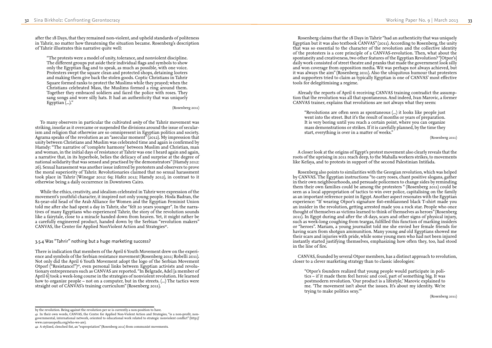Rosenberg claims that the 18 Days in Tahrir "had an authenticity that was uniquely Egyptian but it was also textbook CANVAS" (2011). According to Rosenberg, the unity that was so essential to the character of the revolution and the collective identity of the protesters is a core principle of a CANVAS-revolution. Then, what about the spontaneity and creativeness, two other features of the Egyptian Revolution? "[Otpor's] daily work consisted of street theatre and pranks that made the government look silly and won coverage from opposition media. Wit was perhaps not always achieved, but it was always the aim" (Rosenberg 2011). Also the ubiquitous humour that protesters and supporters tried to claim as typically Egyptian is one of CANVAS' most effective tools for delegitimising a regime.

Already the reports of April 6 receiving CANVAS training contradict the assump tion that the revolution was all that spontaneous. And indeed, Ivan Marovic, a former CANVAS trainer, explains that revolutions are not always what they seem:

"Revolutions are often seen as spontaneous (...) it looks like people just went into the street. But it's the result of months or years of preparation. It is very boring until you reach a certain point, where you can organize mass demonstrations or strikes. If it is carefully planned, by the time they start, everything is over in a matter of weeks."

(Rosenberg 2011)

A closer look at the origins of Egypt's protest movement also clearly reveals that the roots of the uprising in 2011 reach deep, to the Mahalla workers strikes, to movements like Kefaya, and to protests in support of the second Palestinian Intifada.

"The protests were a model of unity, tolerance, and nonviolent discipline. The different groups put aside their individual flags and symbols to show only the Egyptian flag and to speak, as much as possible, with one voice. Protesters swept the square clean and protected shops, detaining looters and making them give back the stolen goods. Coptic Christians in Tahrir Square formed ranks to protect the Muslims while they prayed; when the Christians celebrated Mass, the Muslims formed a ring around them. Together they embraced soldiers and faced the police with roses. They sang songs and wore silly hats. It had an authenticity that was uniquely Egyptian  $(\ldots)$ ."

> Rosenberg also points to similarities with the Georgian revolution, which was helped by CANVAS. The Egyptian instructions "to carry roses, chant positive slogans, gather in their own neighbourhoods, and persuade policemen to change sides by reminding them their own families could be among the protesters " (Rosenberg 2011) could be seen as a local appropriation of tactics to win over police, capitalising on the family as an important reference point in Egypt. Another aspect resonates with the Egyptian experience: "If wearing Otpor's signature fist-emblazoned black T-shirt made you an insider in the revolution, getting arrested made you a rock star. People who once thought of themselves as victims learned to think of themselves as heroes" (Rosenberg 2011). In Egypt during and after the 18 days, scars and other signs of physical injury, such as week-long coughing from teargas, fulfilled this function of marking insiders or "heroes". Mariam, a young journalist told me she envied her female friends for having scars from shotgun ammunition. Many young *and* old Egyptians showed me their scars and injuries with pride, while some young men who had not been injured instantly started justifying themselves, emphasizing how often they, too, had stood in the line of fire.

While the ethics, creativity, and idealism celebrated in Tahrir were expression of the movement's youthful character, it inspired not only young people. Hoda Badran, the 82-year-old head of the Arab Alliance for Women and the Egyptian Feminist Union told me after she had spent a day in Tahrir, she "felt 20 years younger". In the narra tives of many Egyptians who experienced Tahrir, the story of the revolution sounds like a fairytale, close to a miracle handed down from heaven. Yet, it might rather be a carefully engineered product, handed down by the Serbian "revolution makers" CANVAS, the Center for Applied NonViolent Action and Strategies<sup>41</sup>.

> CANVAS, founded by several Otpor members, has a distinct approach to revolution, closer to a clever marketing strategy than to classic ideologies:

"Otpor's founders realized that young people would participate in poli tics – if it made them feel heroic and cool, part of something big. It was postmodern revolution. 'Our product is a lifestyle,' Marovic explained to me. 'The movement isn't about the issues. It's about my identity. We're trying to make politics sexy.'"

(Rosenberg 2011)

after the 18 Days, that they remained non-violent, and upheld standards of politeness in Tahrir, no matter how threatening the situation became. Rosenberg's description of Tahrir illustrates this narrative quite well:

(Rosenberg 2011)

To many observers in particular the cultivated *unity* of the Tahrir movement was striking, insofar as it overcame or suspended the divisions around the issue of secular ism and religion that otherwise are so omnipresent in Egyptian politics and society. Agrama speaks of the revolution as an "asecular moment" (2012). My impression that unity between Christians and Muslim was celebrated time and again is confirmed by Hamdy: "The narrative of 'complete harmony' between Muslim and Christian, man and woman, in the initial days of resistance at Tahrir was one I heard again and again, a narrative that, in its hyperbole, belies the delicacy of and surprise at the degree of national solidarity that was sensed and practised by the demonstrators" (Hamdy 2012: 26). Sexual harassment was another issue inferred by protesters and observers to prove the moral superiority of Tahrir. Revolutionaries claimed that no sexual harassment took place in Tahrir (Winegar 2012: 69; Hafez 2012; Hamdy 2012), in contrast to it otherwise being a daily occurrence in Downtown Cairo.

### 3.5.4 Was "Tahrir" nothing but a huge marketing success?

There is indication that members of the April 6 Youth Movement drew on the experi ence and symbols of the Serbian resistance movement (Rosenberg 2011; Robelli 2011). Not only did the April 6 Youth Movement adopt the logo of the Serbian Movement Otpor! ("Resistance!")<sup>42</sup>, even personal links between Egyptian activists and revolutionary entrepreneurs such as CANVAS are reported. "In Belgrade, Adel [a member of April 6] took a week-long course in the strategies of nonviolent revolution. He learned how to organize people – not on a computer, but in the streets. (...) The tactics were straight out of CANVAS's training curriculum" (Rosenberg 2011).

by the revolution. Being against the revolution per se is currently a non-position to have.

<sup>41</sup> In their own words, CANVAS, the Centre for Applied Non-Violent Action and Strategies, "is a non-profit, nongovernmental, international network, oriented to educational work related to strategic nonviolent conflict" (http:// www.canvasopedia.org/who-we-are).

<sup>42</sup> A stylised, clenched fist, an "expropriation" (Rosenberg 2011) from communist movements.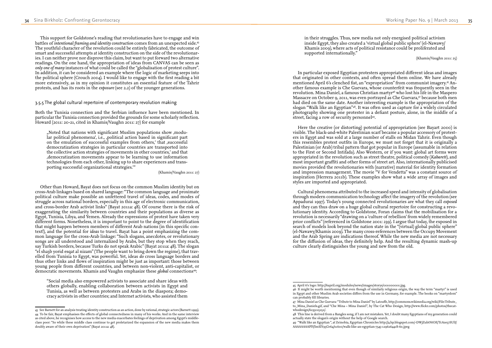## inside Egypt, they also created a 'virtual global public sphere' (el-Nawawy/ Khamis 2009), where acts of political resistance could be proliferated and

In particular exposed Egyptian protesters appropriated different ideas and images that originated in other contexts, and often spread them online. We have already mentioned April 6's clenched fist, an "expropriation" from communist imagery.45 An other famous example is Che Guevara, whose counterfeit was frequently seen in the revolution. Mina Daniel, a famous Christian martyr<sup>46</sup> who lost his life in the Maspero Massacre on October 9, 2011, was even portrayed as Che Guevara,47 because both men had died on the same date. Another interesting example is the appropriation of the slogan "Walk like an Egyptian"48. It was often used as capture for a widely circulated photography showing one protester in a defiant posture, alone, in the middle of a street, facing a row of security personnel<sup>49</sup>.

in their struggles. Thus, new media not only energised political activism supported internationally."

(Khamis/Vaughn 2011: 25)

Here the creative (or distorting) potential of appropriation (see Bayart 2000) is visible. The black-and-white Palestinian scarf became a popular accessory of protest ers in Egypt and was sold at a large number of stalls on Midan Tahrir. Even though this resembles protest outfits in Europe, we must not forget that it is originally a Palestinian (or Arab) tribal pattern that got popular in Europe (assumable in relation to the First or Second Intifada). Also Western, or if you want: global art forms were appropriated in the revolution such as street theatre, political comedy (*Kabarett*), and most important graffiti and other forms of street art. Also, internationally publicised movies provided the revolutionaries with (narrative) material for identity formation and impression management. The movie "V for Vendetta" was a constant source of inspiration (Herrera 2011b). These examples show what a wide array of images and styles are imported and appropriated.

Cultural phenomena attributed to the increased speed and intensity of globalisation through modern communication technology affect the imagery of the revolution (see Appadurai 1997). Today's young connected revolutionaries are what they call *exposed* and they can thus draw on a huge global cultural repertoire for constructing a revo lutionary identity. According to Goldstone, Foran claims that the mobilisation for a revolution is necessarily "drawing on a 'culture of rebellion' from widely remembered prior conflicts" (referenced in Goldstone 2001: 239). I argue that today, the exposed in search of models look beyond the nation state in the "(virtual) global public sphere" (el-Nawawy/Khamis 2009). The many cross-references between the Occupy Movement and the Arab Spring are indications thereof. While the new media are not necessary for the diffusion of ideas, they definitely help. And the resulting dynamic mash-up culture clearly distinguishes the young and new from the old.

"Noted that nations with significant Muslim populations show ,modular political phenomena', i.e., , political action based in significant part on the emulation of successful examples from others,' that , successful democratization strategies in particular countries are transported into the collective action strategies of movements in other countries,' and that 'democratization movements appear to be learning to use information technologies from each other, linking up to share experiences and trans porting successful organizational strategies.'"

in Egypt and other Muslim Arab societies differs from the use in Germany, for example. The books on "martyrdom"

to\_Mina\_Daniels.gif, and "Che Mina – Mina Daniel", by The Cat Who Design, http://www.flickr.com/photos/thecat -

This support for Goldstone's reading that revolutionaries have to engage and win battles of *intentional framing and identity construction* comes from an unexpected side.43 The youthful character of the revolution could be entirely fabricated, the outcome of smart and successful attempts at identity construction on the side of the revolutionar ies. I can neither prove nor disprove this claim, but want to put forward two alternative readings. On the one hand, the appropriation of ideas from CANVAS can be seen as *only one of many* instances of what could be called the "globalisation of protest culture". In addition, it can be considered an example where the logic of marketing seeps into the political sphere (Crouch 2004). I would like to engage with the first reading a bit more extensively, as in my opinion it constitutes an essential feature of the Tahrir protests, and has its roots in the *exposure* (see 2.2) of the younger generations.

### 3.5.5 The global cultural repertoire of contemporary revolution making

Both the Tunisia connection and the Serbian influence have been mentioned. In particular the Tunisia connection provided the grounds for some scholarly reflection. Howard (2011: 20-21, cited in Khamis/Vaughn 2011: 27) for example

(Khamis/Vaughn 2011: 27)

Other than Howard, Bayat does not focus on the common Muslim identity but on cross-Arab linkages based on shared language: "The common language and proximate political culture make possible an unfettered travel of ideas, codes, and modes of struggle across national borders, especially in this age of electronic communication, and cross-border Arab activist links" (Bayat 2011a: 48). Of course there is the risk of exaggerating the similarity between countries and their populations as diverse as Egypt, Tunisia, Libya, and Yemen. Already the expressions of protest have taken very different forms. Nonetheless, it is important to point to the degree of identification that might happen between members of different Arab nations (in this specific con text!), and the potential for *ideas* to travel. Bayat has a point emphasizing the com mon language for the cross-Arab linkage: "Such slogans, anecdotes, or revolutionary songs are all understood and internalized by Arabs, but they stop when they reach, say Turkish borders, because Turks do not speak Arabic" (Bayat 2011a: 48). The slogan "el sha3b yorid esqat al nizam" (The people want to bring down the regime), that trav elled from Tunisia to Egypt, was powerful. Yet, ideas *do* cross language borders and thus other links and flows of inspiration might be just as important: those between young people from different countries, and between non-violent, anti-capitalist, or democratic movements. Khamis and Vaughn emphasize these *global* connections44:

"Social media also empowered activists to associate and share ideas with others globally, enabling collaboration between activists in Egypt and Tunisia, as well as between protesters and Arabs in the diaspora; demo cracy activists in other countries; and Internet activists, who assisted them

<sup>45</sup> April 6's logo: http://6april.org/modules/news/images/storys/000000000.jpg. 46 It might be worth mentioning that even though of similarly religious origin, the way the term "martyr" is used can probably fill libraries.

<sup>47</sup> Mina Daniel as Che Guevara: "Tribute to Mina Daniel" by Latouffe, http://commons.wikimedia.org/wiki/File:Tribute\_ whodesign/6235025252/.

<sup>48</sup> This line is derived from a Bangles song, if I am not mistaken. Yet, I doubt many Egyptians of my generation could actually state the slogan's origin without the help of Google search. 49 "Walk like an Egyptian ", at Zeinobia, Egyptian Chronicles http://4.bp.blogspot.com/-DWjZubtNtOE/TcAze57SUlI/

AAAAAAAAPlY/lmSlY95Gv64/s1600/walk-like-an-egyptian-7545-1296264418-60.jpeg

<sup>43</sup> See Barnett for an analysis treating identity construction as an action, done by rational, strategic actors (Barnett 1999). 44 To be fair, Bayat emphasises the effects of global connectedness in many of his works. And in the same interview as cited above, he recognises how access to the new media exacerbates feelings of deprivation among Egypt's middleclass poor: "So while these middle class continue to get proletarized the expansion of the new media makes them doubly aware of their own deprivation" (Bayat 2011a: 48).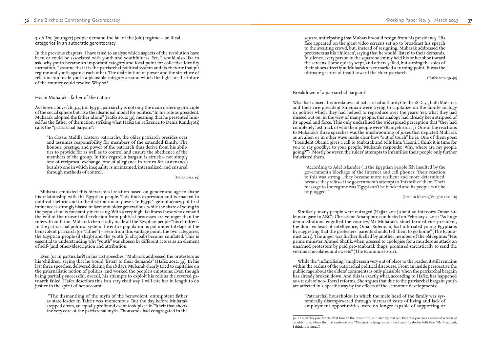square, anticipating that Mubarak would resign from his presidency. His face appeared on the giant video screens set up to broadcast his speech to the awaiting crowd, but, instead of resigning, Mubarak addressed the protesters as his 'children', saying that he would 'listen' to their demands. In silence, every person in the square solemnly held his or her shoe toward the screens. Some quietly wept, and others yelled, but aiming the soles of their shoes directly at Mubarak's face marked a turning point. It was the ultimate gesture of insult toward the elder patriarch."

(Hafez 2012: 39-40)

### Breakdown of a patriarchal bargain?

What had caused this breakdown of patriarchal authority? In the 18 Days, both Mubarak and then vice-president Suleiman were trying to capitalize on the family-analogy in politics which they had helped to reproduce over the years. Yet, what they had missed out on: in the view of many people, this analogy had already been stripped of its appeal and force. This only underlined the widespread perception that "they had completely lost track of who their people were" (Bamyeh 2011: 5). One of the reactions to Mubarak's three speeches was the mushrooming of jokes that depicted Mubarak as an alien or in other ways made clear how "out of touch" he is. One of them goes: "President Obama gives a call to Mubarak and tells him: 'Hosni, I think it is time for you to say goodbye to your people.' Mubarak responds: 'Why, where are my people going?'"<sup>50</sup> Mostly however, the rulers' attempts to infantilise their people only further infuriated them.

"According to Adel Iskander (...) the Egyptian people felt insulted by the government's blockage of the Internet and cell phones: 'their reaction to this was strong…they became more resilient and more determined, because they refused the government's attempt to 'infantilize' them. Their message to the regime was 'Egypt can't be blocked and its people can't be unplugged'."

(cited in Khamis/Vaughn 2011: 16)

Similarly, many people were outraged (Hajjar 2011) about an interview Omar Su leiman gave to ABC's Christiane Amanpour, conducted on February 3, 2011: "As huge demonstrations engulfed the country, Mr Mubarak's short-termed vice-president, the dour ex-head of intelligence, Omar Suleiman, had infuriated young Egyptians by suggesting that the protesters' parents should tell them to go home" (The Econo mist 2011). The anger was further fuelled by another member of the *old* regime: "His prime minister, Ahmed Shafik, when pressed to apologise for a murderous attack on unarmed protesters by paid pro-Mubarak thugs, promised sarcastically to send the victims chocolates and sweets" (The Economist 2011).

While the "infantilising" might seem very out of place to the reader, it still remains within the realms of the patriarchal political discourse. From an inside perspective the public rage about the elders' comments is only plausible when the patriarchal bargain has already broken down. And this is exactly what, according to Hafez, has happened as a result of neo-liberal reforms. She argues that due to the patriarchal bargain youth are affected in a specific way by the effects of the economic developments:

"Patriarchal households, in which the male head of the family was sys temically disempowered through increased costs of living and lack of employment opportunities, were no longer capable of supporting or

50 I heard this joke for the first time in the revolution, but later figured out, that this joke was a recycled version of an older one, where the first sentence was: "Mubarak is lying on deathbed, and the doctor tells him "Mr President,

3.5.6 The (younger) people demand the fall of the (old) regime – political categories in an autocratic gerontocracy

In the previous chapters, I have tried to analyse which aspects of the revolution have been or could be associated with youth and youthfulness. Yet, I would also like to ask, why youth became an important category and focal point for collective identity formation. I assume that it is the patriarchal political system and its rhetoric that pit regime and youth against each other. The distribution of power and the structure of relationship made youth a plausible category around which the fight for the future of the country could revolve. Why so?

### Hosni Mubarak - father of the nation

As shown above (ch. 3.3.3), in Egypt, patriarchy is not only the main ordering principle of the social sphere but also the ideational model for politics. "In his role as president, Mubarak adopted the father idiom" (Hafez 2012: 39), meaning that he presented him self as the father of the nation, striking what Hafez (in reference to Deniz Kandiyoti) calls the "patriarchal bargain":

"In classic Middle Eastern patriarchy, the older patriarch presides over and assumes responsibility for members of the extended family. The honour, prestige, and power of the patriarch thus derive from his abili ties to provide for as well as to control and ensure the obedience of the members of the group. In this regard, a bargain is struck – not simply one of reciprocal exchange (one of allegiance in return for sustenance) but also one in which inequality is maintained, internalized, and ensured through methods of control."

(Hafez 2012: 39)

Mubarak emulated this hierarchical relation based on gender and age to shape his relationship with the Egyptian people. This finds expression and is enacted in political rhetoric and in the distribution of power. In Egypt's gerontocracy, political influence is strongly biased in favour of older generations, while the share of young in the population is constantly increasing. With a very high likeliness those who demand the end of their near total exclusion from political processes are younger than the rulers. In addition, Mubarak rhetorically made all the Egyptian people "his children". In the patriarchal political system the entire population is put under tutelage of the benevolent patriarch (or "father") – seen from this vantage point, the two categories, the Egyptian people (il sha3b) and the youth (il sha3bab) become conflated. This is essential to understanding why "youth" was chosen by different actors as an element of self- (and other-)description and attribution.

Even (or in particular?) in his last speeches, "Mubarak addressed the protesters as his 'children,' saying that he would 'listen' to their demands" (Hafez 2012: 39). In his last three speeches, delivered during the 18 days, Mubarak clearly tried to capitalise on the paternalistic notion of politics, and worked the people's emotions. Even though being partially successful, overall, his attempts to exploit his role as the revered pa triarch failed. Hafez describes this in a very vivid way. I will cite her in length to do justice to the spirit of her account:

"The dismantling of the myth of the benevolent, omnipotent father as state leader in Tahrir was momentous. But the day before Mubarak stepped down, an equally profound event took place in Tahrir that shook the very core of the patriarchal myth. Thousands had congregated in the

I think it is time...".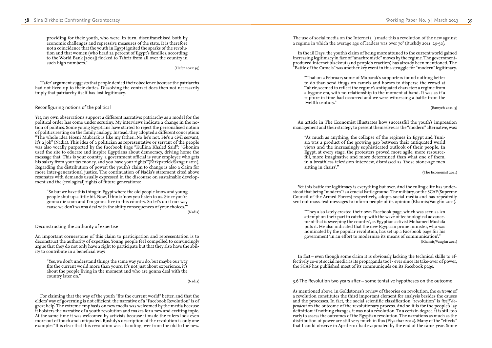The use of social media on the Internet (...) made this a revolution of the new against a regime in which the average age of leaders was over 70" (Rushdy 2011: 29-30).

In the 18 Days, the youth's claim of being more attuned to the current world gained increasing legitimacy in face of "anachronistic" moves by the regime. The governmentproduced internet blackout (and people's reaction) has already been mentioned. The "Battle of the Camels" was another key event in this struggle for "modern" legitimacy.

"That on 2 February some of Mubarak's supporters found nothing better to do than send thugs on camels and horses to disperse the crowd at Tahrir, seemed to reflect the regime's antiquated character: a regime from a bygone era, with no relationship to the moment at hand. It was as if a rupture in time had occurred and we were witnessing a battle from the twelfth century."

(Bamyeh 2011: 5)

An article in The Economist illustrates how successful the youth's impression management and their strategy to present themselves as the "modern" alternative, was:

"As much as anything, the collapse of the regimes in Egypt and Tuni sia was a product of the growing gap between their antiquated world views and the increasingly sophisticated outlook of their people. In Egypt, at every stage, the protesters proved more agile, more resource ful, more imaginative and more determined than what one of them, in a breathless television interview, dismissed as 'those stone-age men sitting in chairs'."

(The Economist 2011)

Yet this battle for legitimacy is everything but over. And the ruling elite has under stood that being "modern" is a crucial battleground. The military, or the SCAF (Supreme Council of the Armed Forces) respectively, adopts social media and has repeatedly sent out mass-text messages to inform people of its opinion (Khamis/Vaughn 2011).

"They also lately created their own Facebook page, which was seen as 'an attempt on their part to catch up with the wave of technological advance ment that is sweeping the country', as Egyptian activist Mohamed Mustafa puts it. He also indicated that the new Egyptian prime minister, who was nominated by the popular revolution, has set up a Facebook page for his government 'in an effort to modernize its means of communication'." (Khamis/Vaughn 2011)

In fact – even though some claim it is obviously lacking the technical skills to effectively co-opt social media as its propaganda tool - ever since its take-over of power, the SCAF has published most of its communiqués on its Facebook page.

3.6 The Revolution two years after – some tentative hypotheses on the outcome

As mentioned above, in Goldstones's review of theories on revolution, the *outcome* of a revolution constitutes the third important element for analysis besides the causes and the processes. In fact, the social scientific classification "revolution" is *itself de pendent* on the outcome of the revolutionary process. And so it is for the people's lay definition: if nothing changes, it was not a revolution. To a certain degree, it is still too early to assess the outcomes of the Egyptian revolution. The narrations as much as the distribution of power are still very much in flux (Elyachar 2012). Many of the "effects" that I could observe in April 2011 had evaporated by the end of the same year. Some

providing for their youth, who were, in turn, disenfranchised both by economic challenges and repressive measures of the state. It is therefore not a coincidence that the youth in Egypt ignited the sparks of the revolu tion and that women (who head 22 percent of Egypt's families, according to the World Bank [2002]) flocked to Tahrir from all over the country in such high numbers."

(Hafez 2012: 39)

Hafez' argument suggests that people denied their obedience because the patriarchs had not lived up to their duties. Dissolving the contract does then not necessarily imply that patriarchy itself has lost legitimacy.

### Reconfiguring notions of the political

Yet, my own observations support a different narrative: patriarchy as a model for the political order has come under scrutiny. My interviews indicate a change in the no tion of politics. Some young Egyptians have started to reject the personalised notion of politics resting on the family analogy. Instead, they adopted a different conception: "The whole idea Hosni Mubarak is like my father...No he's not. He's a civil servant, it's a job" (Nadia). This idea of a politician as representative or servant of the people was also vocally purported by the Facebook Page "Kullina Khaled Said": "Ghonim used the site to educate and inspire Egyptians about democracy, driving home the message that 'This is your country; a government official is your employee who gets his salary from your tax money, and you have your rights'"(Kirkpatrick/Sanger 2011). Regarding the distribution of power: the youth's claim to change is also a claim for more inter-generational justice. The continuation of Nadia's statement cited above resonates with demands usually expressed in the discourse on sustainable develop ment and the (ecological) rights of future generations:

"So but we have this thing in Egypt where the old people know and young people shut up a little bit. Now, I think: 'now you listen to us. Since you're gonna die soon and I'm gonna live in this country. So let's do it our way cause we don't wanna deal with the shitty consequences of your choices.'"

(Nadia)

Deconstructing the authority of expertise

An important cornerstone of this claim to participation and representation is to deconstruct the authority of expertise. Young people feel compelled to convincingly argue that they do not only have a right to participate but that they also have the abil ity to contribute in a beneficial way:

"Yes, we don't understand things the same way you do, but maybe our way fits the current world more than yours. It's not just about experience, it's about the people living in the moment and who are gonna deal with the country later on."

(Nadia)

For claiming that the way of the youth "fits the current world" better, and that the elders' way of governing is not efficient, the narrative of a "Facebook Revolution" is of great help. The extreme emphasis on new media was welcomed by the media because it bolsters the narrative of a youth revolution and makes for a new and exciting topic. At the same time it was welcomed by activists because it made the rulers look even more out of touch and antiquated. Rushdy's description of the revolution is only one example: "It is clear that this revolution was a handing over from the old to the new.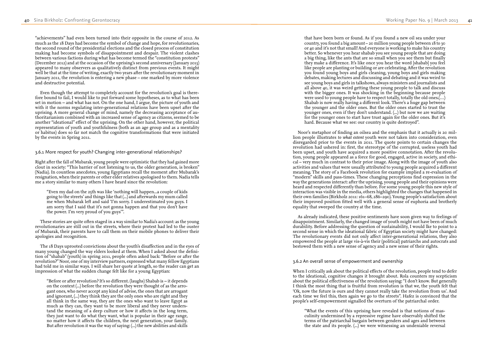that have been born or found. As if you found a new oil sea under your country, you found a big amount – 20 million young people between 18 to 30 or 40 and it's not that small! And everyone is working to make his country better. So whenever you hear shabab you see young people that are doing a big thing, like the ants that are so small when you see them but finally they make a difference. It's like once you hear the word [shabab] you feel like people are planting or building or are celebrating. After the revolution you found young boys and girls cleaning, young boys and girls making debates, making lectures and discussing and debating and it was weird to see young boys and girls in talkshows, always ministers and journalists and all above 40, it was weird getting these young people to talk and discuss with the bigger ones. It was shocking in the beginning because people were used to young people have to respect totally, totally the old ones.(...) Shabab is now really having a different look. There's a huge gap between the younger and the older ones. But the older ones started to trust the younger ones, even if they don't understand. (...) but now we are waiting for the younger ones to start have trust again for the older ones. But it's hard. Because what we see: our country is quite destroyed".

Noor's metaphor of finding an oilsea and the emphasis that it actually is 20 mil lion people illustrates *to what extent* youth were not taken into consideration, even disregarded prior to the events in 2011. The quote points to certain changes the revolution had ushered in: first, the stereotype of the corrupted, useless youth had been upset, and youth have acquired a more positive connotation. After the revolu tion, young people appeared as a force for good, engaged, active in society, and ethi cal – very much in contrast to their prior image. Along with the image of youth also activities and values that were usually attributed to young people acquired a different meaning. The story of a Facebook revolution for example implied a re-evaluation of "modern" skills and pass-times. These changing perceptions find expression in the way the generations interact: after the uprising, young people and their opinions were heard and respected differently than before. For some young people this new style of interaction was visible in the media, others highlighted the changes that happened in their own families (Birkholz 2011: 161–68, 286–290). Young people's satisfaction about their improved position fitted well with a general sense of euphoria and brotherly equality that sweeped the country at the time.

As already indicated, these positive sentiments have soon given way to feelings of disappointment. Similarly, the changed image of youth might not have been of much durability. Before addressing the question of sustainability, I would lke to point to a second sense in which the ideational fabric of Egyptian society might have changed: The revolutionary events did not only affect inter-generational relations, they also empowered the people at large vis-à-vis their (political) patriarchs and autocrats and bestowed them with a new sense of agency and a new sense of their rights.

### 3.6.2 An overall sense of empowerment and ownership

When I critically ask about the political effects of the revolution, people tend to defer to the ideational, cognitive changes it brought about. Rola counters my scepticism about the political effectiveness of the revolution saying: "I don't know. But generally I think the most thing that is fruitful from revolution is that we, the youth felt that 'Ok, now the future is ours and they cannot really take the revolution from us'. And each time we feel this, then again we go to the streets". Hafez is convinced that the people's self-empowerment signalled the overturn of the patriarchal order.

"What the events of this uprising have revealed is that notions of mas culinity undermined by a repressive regime have observably shifted the terms of the patriarchal bargain between genders and ages and between the state and its people. (...) we were witnessing an undeniable reversal

"achievements" had even been turned into their opposite in the course of 2012. As much as the 18 Days had become the symbol of change and hope, for revolutionaries, the second round of the presidential elections and the closed process of constitution making had become symbols of disappointment and despair. The violent clashes between various factions during what has become termed the "constitution protests' (December 2012) and at the occasion of the uprising's second anniversary (January 2013) appeared to many observers as qualitatively distinct from previous events. It might well be that at the time of writing, exactly two years after the revolutionary moment in January 2011, the revolution is entering a new phase – one marked by more violence and destructive potential.

Even though the attempt to completely account for the revolution's goal is there fore bound to fail, I would like to put forward some hypotheses, as to what has been set in motion – and what has not. On the one hand, I argue, the picture of youth and with it the norms regulating inter-generational relations have been upset after the uprising. A more general change of mind, namely the decreasing acceptance of au thoritarianism combined with an increased sense of agency as citizens, seemed to be another "ideational" effect of the uprising. On the other hand, however, the political representation of youth and youthfulness (both as an age group and as a mentality or habitus) does so far not match the cognitive transformations that were initiated by the events in Spring 2011.

### 3.6.1 More respect for youth? Changing inter-generational relationships?

Right after the fall of Mubarak, young people were optimistic that they had gained more clout in society: "This barrier of not listening to us, the older generation, is broken" (Nadia). In countless anecdotes, young Egyptians recall the moment after Mubarak's resignation, when their parents or other elder relatives apologised to them. Nadia tells me a story similar to many others I have heard since the revolution:

"Even my dad on the 25th was like 'nothing will happen...a couple of kids going to the streets' and things like that (...) and afterwards my mum called me when Mubarak left and said 'I'm sorry. I underestimated you guys. I am sorry that I said that it's not gonna happen and that you don't have the power. I'm very proud of you guys'".

These stories are quite often staged in a way similar to Nadia's account: as the young revolutionaries are still out in the streets, where their protest had led to the ouster of Mubarak, their parents have to call them on their mobile phones to deliver their apologies and recognition.

The 18 Days uprooted convictions about the youth's disaffection and in the eyes of many young changed the way elders looked at them. When I asked about the defini tion of "shabab" (youth) in spring 2011, people often asked back: "Before or after the revolution?" Noor, one of my interview partners, expressed what many fellow Egyptians had told me in similar ways. I will share her quote at length, so the reader can get an impression of what the sudden change felt like for a young Egyptian:

"Before or after revolution? It's so different. (laughs) Shabab is – it depends on the context (...) before the revolution they were thought of as the arro gant ones, who never accept any kind of advise, the ones that are arrogant and ignorant, (...) they think they are the only ones who are right and they all think in the same way, they are the ones who want to leave Egypt as much as they can, they want to be more liberal and they never unders tand the meaning of a deep culture or how it affects in the long term, they just want to do what they want, what is popular in their age range, no matter how it affects the children, the next generation, your family. But after revolution it was the way of saying: (...) the new abilities and skills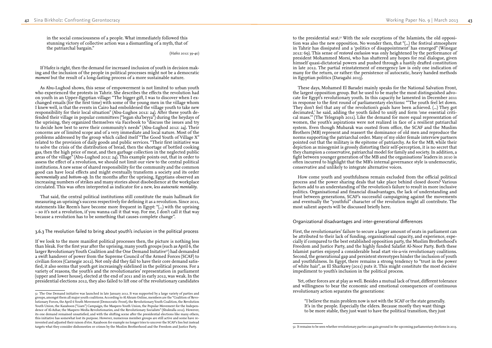to the presidential seat. $^{52}$  With the sole exceptions of the Islamists, the old opposition was also the new opposition. No wonder then, that "(...) the festival atmosphere in Tahrir has dissipated and a 'politics of disappointment' has emerged" (Winegar 2012: 69). This sense of *restored exclusion* was only heightened by the performance of president Mohammed Morsi, who has shattered any hopes for real dialogue, given himself quasi-dictatorial powers and pushed through a hastily drafted constitution in late 2012. The partial reinstatement of emergency law is only one indication of many for the return, or rather: the persistence of autocratic, heavy handed methods in Egyptian politics (Daragahi 2013).

These days, Mohamed El Baradei mainly speaks for the National Salvation Front, the largest opposition group. But he used to be maybe the most distinguished advo cate for Egypt's revolutionary youth. In this capacity he lamented in December 2011 in response to the first round of parliamentary elections: "'The youth feel let down. They don't feel that any of the revolution's goals have been achieved. (...) They got decimated,' he said, adding the youth failed to unify and form 'one essential criti cal mass.'" (The Telegraph 2011). Like the demand for more equal representation of women, the youth's aspirations were not realized in face of a resilient patriarchal system. Even though Mubarak was ousted from office, the SCAF and the Muslim Brothers (MB) represent and reassert the dominance of old men and reproduce the norms supporting the patriarchal order. Many of my older female interview partners pointed out that the military is *the* epitome of patriarchy. As for the MB, while their depiction as misogynist is grossly distorting their self-perception, it is no secret that they champion a conservative, patriarchal model for family and society. In addition, a fight between younger generation of the MB and the organisations' leaders in 2010 is often incurred to highlight that the MB's internal governance style is undemocratic, conservative and unlikely to integrate alternative voices.

How come youth and youthfulness remain excluded from the official political process and the power sharing deals that take place behind closed doors? Various factors add to an understanding of the revolution's failure to result in more inclusive politics. Organisational and financial disadvantages, the lack of understanding and trust between generations, SCAF's successful campaigning against the movements and eventually the "youthful" character of the revolution might all contribute. The most salient aspects will be discussed briefly here.

### Organizational disadvantages and inter-generational differences

First, the revolutionaries' failure to secure a larger amount of seats in parliament can be attributed to their lack of funding, organisational capacity, and experience, espe cially if compared to the best established opposition party, the Muslim Brotherhood's Freedom and Justice Party, and the highly funded Salafist Al-Noor Party. Both these Islamist parties enjoyed a considerable head start vis-a-vis revolutionary coalitions. Second, the generational gap and persistent stereotypes hinder the inclusion of youth and youthfulness. In Egypt, there remains a strong tendency to "trust in the power of white hair", as El Sharkawy (2011) puts it. This might constitute the most decisive impediment to youth's inclusion in the political process.

Yet, other forces are at play as well. Besides a mutual lack of trust, different tolerance and willingness to bear the economic and emotional consequences of continuous revolutionary action separates the generations:

"I believe the main problem now is not with the SCAF or the state generally. It's in the people. Especially the elders. Because mostly they want things to be more stable, they just want to have the political transition, they just

52 It remains to be seen whether revolutionary parties can gain ground in the upcoming parliamentary elections in 2013.

in the social consciousness of a people. What immediately followed this stunning victory of collective action was a dismantling of a myth, that of the patriarchal bargain."

(Hafez 2012: 39-40)

If Hafez is right, then the demand for increased inclusion of youth in decision mak ing and the inclusion of the people in political processes might not be a democratic *moment* but the result of a long-lasting process of a more sustainable nature.

As Abu-Lughod shows, this sense of empowerment is not limited to urban youth who experienced the protests in Tahrir. She describes the effects the revolution had on youth in an Upper-Egyptian village: "The bigger gift, I was to discover when I ex changed emails (for the first time) with some of the young men in the village whom I knew well, is that the events in Cairo had emboldened the village youth to take new responsibility for their local situation" (Abu-Lughos 2012: 24). After these youth de fended their village in popular committees ("legan sha'beyya") during the heydays of the uprising, they organized themselves via Facebook to "discuss the issues and try to decide how best to serve their community's needs" (Abu-Lughod 2012: 24). Their concerns are of limited scope and of a very immediate and local nature. Most of the problems addressed by the group which called itself "The Good Youth of Village X" related to the provision of daily goods and public services. "Their first initiative was to solve the crisis of the distribution of bread, then the shortage of bottled cooking gas, then the high price of meat, and then garbage collection in the neglected public areas of the village" (Abu-Lughod 2012: 24). This example points out, that in order to assess the effect of a revolution, we should not limit our view to the central political institutions. A new sense of shared responsibility for the community and the common good can have local effects and might eventually transform a society and its order *incrementally* and *bottom-up*. In the months after the uprising, Egyptians observed an increasing numbers of strikes and many stories about disobedience at the workplace circulated. This was often interpreted as indicator for a new, *less autocratic mentality* .

That said, the central political institutions still constitute the main hallmark for measuring an uprising's success respectively for defining it as a revolution. Since 2011, statements like Reem's have become more frequent in Egypt: "(...) with the uprising – so it's not a revolution, if you wanna call it that way. For me, I don't call it that way because a revolution has to be something that causes complete change".

3.6.3 The revolution failed to bring about youth's inclusion in the political process

If we look to the more manifest political processes then, the picture is nothing less than bleak. For the first year after the uprising, many youth groups (such as April 6, the larger Revolutionary Youth Coalition and the One Demand Initative51) had demanded a swift handover of power from the Supreme Council of the Armed Forces (SCAF) to civilian forces (Carnegie 2012). Not only did they fail to have their core demand satis fied, it also seems that youth got increasingly sidelined in the political process. For a variety of reasons, the youth's and the revolutionaries' representation in parliament (upper and lower house), elected at the end of 2011 and in early 2012, was weak. In the presidential elections 2012, they also failed to lift one of the revolutionary candidates

<sup>51</sup> The One Demand initiative was launched in late January 2012. It was supported by a large variety of parties and groups, amongst them all major youth coalitions. According to Al Ahram Online, members are the "Coalition of Revo lutionary Forces, the April 6 Youth Movement (Democratic Front), the Revolutionary Youth Coalition, the Revolution Youth Union, the Kazaboon ("Liars") Campaign, the Maspero Youth Union, the Popular Movement for the Indepen dence of Al-Azhar, the Maspero Media Revolutionaries, and the Revolutionary Socialists" (Shukralla 2012). However, its one demand remained unsatisfied, and with the shifting scene after the presidential elections like many others, this initiative has somewhat lost its purpose. However, numerous member groups are still active and some have reinvented and adjusted their raison d'etre. Kazaboon for example no longer tries to uncover the SCAF's lies but instead targets what they consider dishonesties or crimes by the Muslim Brotherhood and the Freedom and Justice Party.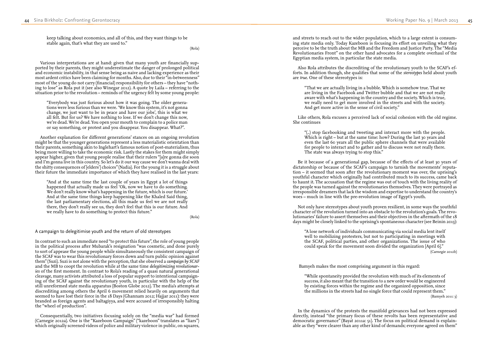and streets to reach out to the wider population, which to a large extent is consum ing state media only. Today Kazeboon is focusing its effort on unveiling what they perceive to be the truth about the MB and the Freedom and Justice Party. The "Media Revolutionaries Front" on the other hand advocates for a complete overhaul of the Egyptian media system, in particular the state media.

"(..) stop facebooking and tweeting and interact more with the people. Which is right – but at the same time: how? During the last 30 years and even the last 60 years all the public sphere channels that were available for people to interact and to gather and to discuss were not really there. The state was always trying to stop this."

Also Rola attributes the discrediting of the revolutionary youth to the SCAF's efforts. In addition though, she qualifies that some of the *stereotypes* held about youth are *true*. One of these stereotypes is:

"That we are actually living in a bubble. Which is somehow true. That we are living in the Facebook and Twitter bubble and that we are not really aware with what's happening in the country and the society. Which is true, we really need to get more involved in the streets and with the society. And get more active in the sense of civil society."

Like others, Rola excuses a perceived lack of social cohesion with the old regime. She continues

Be it because of a generational gap, because of the effects of at least 30 years of dictatorship or because of the SCAF's campaign to tarnish the movements' reputa tion – it seemed that soon after the revolutionary moment was over, the uprising's youthful character which originally had contributed much to its success, came back to haunt it. The accusation that the regime was out of touch with the living reality of the people was turned against the revolutionaries themselves. They were portrayed as irresponsible dreamers that lack the wisdom and expertise to understand the country's woes – much in line with the pre-revolution image of Egypt's youth.

Not only have stereotypes about youth proven resilient, in some ways the youthful character of the revolution turned into an obstacle to the revolution's goals. The revo lutionaries' failure to assert themselves and their objectives in the aftermath of the 18 days might be closely linked to the uprising's spontaneous character (see Beinin 2013):

"A lose network of individuals communicating via social media lent itself well to mobilizing protesters, but not to participating in meetings with the SCAF, political parties, and other organizations. The issue of who could speak for the movement soon divided the organization [April 6]." (Carnegie 2012b)

Bamyeh makes the most comprising argument in this regard:

"While spontaneity provided the revolution with much of its elements of success, it also meant that the transition to a new order would be engineered by existing forces within the regime and the organized opposition, since the millions in the streets had no single force that could represent them." (Bamyeh 2011: 3)

In the dynamics of the protests the manifold grievances had not been expressed directly, instead "the primary focus of these revolts has been representative and democratic governance" (Bayat 2011a: 51). The focus on political demand is explain able as they "were clearer than any other kind of demands; everyone agreed on them"

keep talking about economics, and all of this, and they want things to be stable again, that's what they are used to."

(Rola)

Various interpretations are at hand: given that many youth are financially sup ported by their parents, they might underestimate the danger of prolonged political and economic instability, in that sense being as naive and lacking experience as their most ardent critics have been claiming for months. Also, due to their "in-betweenness" most of the young do not carry (financial) responsibility for others – they have "noth ing to lose" as Rola put it (see also Winegar 2012). A quote by Laila – referring to the situation prior to the revolution – reminds of the urgency felt by some young people:

"Everybody was just furious about how it was going. The older genera tions were less furious than we were. 'We know this system, it's not gonna change, we just want to be in peace and have our jobs', this is what we all felt. But for us? We have nothing to lose. If we don't change this now, we're dead. We're dead. You open your mouth to complain to a police man or say something, or protest and you disappear. You disappear. What?".

Another explanation for different generations' stances on an ongoing revolution might be that the younger generations represent a less materialistic orientation than their parents, something akin to Inglehart's famous notion of post-materialism, thus being more willing to take the economic risk. Lastly the stakes for them might simply appear higher, given that young people realise that their rulers "[a]re gonna die soon and I'm gonna live in this country. So let's do it our way cause we don't wanna deal with the shitty consequences of [elders'] choices" (Nadia). For the young it is a struggle about their future the immediate importance of which they have realised in the last years:

"And at the same time the last couple of years in Egypt a lot of things happened that actually made us feel 'Ok, now we have to do something. We don't really know what's happening in the future, which is our future.' And at the same time things keep happening like the Khaled Said thing, the last parliamentary elections, all this made us feel we are not really there, they don't really see us, they don't feel that this is our future. And we really have to do something to protect this future."

(Rola)

A campaign to delegitimise youth and the return of old stereotypes

In contrast to such an immediate need "to protect this future", the role of young people in the political process after Mubarak's resignation "was cosmetic, and done purely to sort of appease the young people while simultaneously the consistent campaign of the SCAF was to wear this revolutionary forces down and turn public opinion against them" (Suzi). Suzi is not alone with the perception, that she observed a *campaign by SCAF* and the MB to coopt the revolution while at the same time *delegitimizing revolutionar ies* of the first moment. In contrast to Rola's reading of a quasi natural generational cleavage, many activists attributed a loss of popular support to intentional campaign ing of the SCAF against the revolutionary youth, in particular with the help of the still unreformed state media apparatus (Boston Globe 2012). The media's attempts at discrediting among others the April 6 movement relied heavily on arguments that seemed to have lost their force in the 18 Days (Ghannam 2012; Hajjar 2011): they were branded as foreign agents and baltagiyya, and were accused of irresponsibly halting the "wheel of production".

Consequentially, two initiatives focusing solely on the "media war" had formed (Carnegie 2012a). One is the "Kazeboon Campaign" ("kazeboon" translates as "liars") which originally screened videos of police and military violence in public, on squares,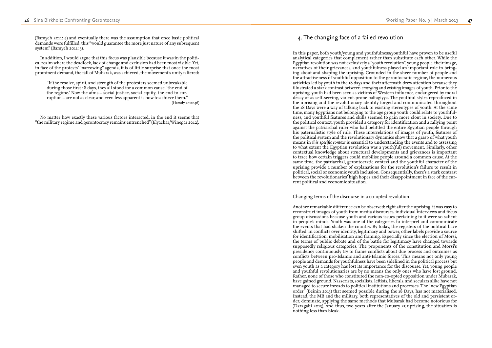## 4. The changing face of a failed revolution

In this paper, both youth/young and youthfulness/youthful have proven to be useful analytical categories that complement rather than substitute each other. While the Egyptian revolution was not exclusively a "youth revolution", young people, their image, narratives of their grievances, and youthfulness played an important role in bring ing about and shaping the uprising. Grounded in the sheer number of people and the attractiveness of youthful opposition to the gerontocratic regime, the numerous activities led by youth in the 18 days and their aftermath drew attention because they illustrated a stark contrast between *emerging* and *existing* images of youth. Prior to the uprising, youth had been seen as victims of Western influence, endangered by moral decay or as self-serving, violent-prone baltagiyya. The youthful styles reproduced in the uprising and the revolutionary identity forged and communicated throughout the 18 Days were a way of talking back to existing stereotypes of youth. At the same time, many Egyptians not belonging to the age group youth could relate to youthful ness, and youthful features and skills seemed to gain more clout in society. Due to the political context, youth provided a category for identification and a rallying point against the patriarchal ruler who had belittled the entire Egyptian people through his paternalistic style of rule. These interrelations of images of youth, features of the political system and the revolutionary dynamics show that a grasp of what youth means in *this specific context* is essential to understanding the events and to assessing to what extent the Egyptian revolution was a youth(ful) movement. Similarly, other contextual knowledge about structural developments and grievances is important to trace how certain triggers could mobilise people around a common cause. At the same time, the patriarchal, gerontocratic context and the youthful character of the uprising provide a number of explanations for the revolution's failure to result in political, social or economic youth inclusion. Consequentially, there's a stark contrast between the revolutionaries' high hopes and their disappointment in face of the cur rent political and economic situation.

### Changing terms of the discourse in a co-opted revolution

Another remarkable difference can be observed: right after the uprising, it was easy to reconstruct images of youth from media discourses, individual interviews and focus group discussions because youth and various issues pertaining to it were so salient in people's minds. Youth was one of the categories to interpret and communicate the events that had shaken the country. By today, the registers of the political have shifted: in conflicts over identity, legitimacy and power, other labels provide a source for identification, mobilisation and framing. Especially since the election of Morsi, the terms of public debate and of the battle for legitimacy have changed towards supposedly religious categories. The proponents of the constitution and Morsi's presidency continuously try to frame conflicts about due process and outcomes as conflicts between pro-Islamic and anti-Islamic forces. This means not only young people and demands for youthfulness have been sidelined in the political process but even youth as a category has lost its importance for the discourse. Yet, young people and youthful revolutionaries are by no means the only ones who have lost ground. Rather, none of those who constituted the non-co-opted opposition under Mubarak, have gained ground. Nasserists, socialists, leftists, liberals, and seculars alike have not managed to secure inroads to political institutions and processes. The "new Egyptian order" (Beinin 2013) that seemed possible during the  $\overline{18}$  Days, has not materialised. Instead, the MB and the military, both representatives of the old and persistent or der, dominate, applying the same methods that Mubarak had become notorious for (Daragahi 2013). And thus, two years after the January 25 uprising, the situation is nothing less than bleak.

(Bamyeh 2011: 4) and eventually there was the assumption that once basic political demands were fulfilled, this "would guarantee the more just nature of any subsequent system" (Bamyeh 2011: 3).

In addition, I would argue that this focus was plausible because it was in the politi cal realm where the deadlock, lack of change and exclusion had been most visible. Yet, in face of the protests' "narrowing" agenda, it is of little surprise that once the most prominent demand, the fall of Mubarak, was achieved, the movement's unity faltered:

"If the resolve, spirit, and strength of the protesters seemed unbreakable during those first 18 days, they all stood for a common cause, 'the end of the regime.' Now the aims – social justice, social equity, the end to cor ruption – are not as clear, and even less apparent is how to achieve them." (Hamdy 2012: 46)

No matter how exactly these various factors interacted, in the end it seems that "the military regime and gerontocracy remains entrenched" (Elyachar/Winegar 2012).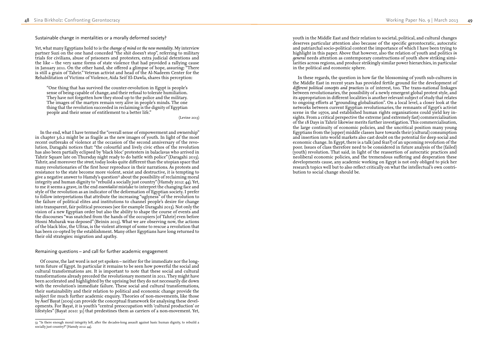youth in the Middle East and their relation to societal, political, and cultural changes deserves particular attention also because of the specific gerontocratic, autocratic and patriarchal socio-political context the importance of which I have been trying to highlight in this paper. Above that however, also the relation of youth and politics *in general* needs attention as contemporary constructions of youth show striking simi larities across regions, and produce strikingly similar power hierarchies, in particular in the political and economic sphere.

In these regards, the question in how far the blossoming of youth sub-cultures in the Middle East in recent years has provided fertile ground for the development of *different political concepts and practices* is of interest, too. The trans-national linkages between revolutionaries, the possibility of a newly emergent global protest style, and its appropriation in different localities is another relevant subject of study that relates to ongoing efforts at "grounding globalisation". On a local level, a closer look at the networks between current Egyptian revolutionaries, the remnants of Egypt's activist scene in the 1970s, and established human rights organisations could yield key in sights. From a critical perspective the extreme (and extremely fast) commercialisation of the 18 Days in Tahrir likewise merits further investigation. This commercialisation, the large continuity of economic policies, and the uncritical position many young Egyptians from the (upper) middle classes have towards their (cultural) consumption and insertion into world markets also cast doubt on the potential for deep social and economic change. In Egypt, there is a talk (and fear?) of an upcoming revolution of the poor. Issues of class therefore need to be considered in future analysis of the (failed) (youth) revolution. That said, in light of the reassertion of autocratic practices and neoliberal economic policies, and the tremendous suffering and desperation these developments cause, any academic working on Egypt is not only obliged to pick her research topics well but to also reflect critically on what the intellectual's own contri bution to social change should be.

Sustainable change in mentalities or a morally deformed society?

Yet, what many Egyptians hold to is the *change of mind* or *the new mentality*. My interview partner Suzi on the one hand conceded "the shit doesn't stop", referring to military trials for civilians, abuse of prisoners and protesters, extra judicial detentions and the like – the very same forms of state violence that had provided a rallying cause in January 2011. On the other hand, she offered a glimpse of hope, assuring: "There is still a grain of Tahrir." Veteran activist and head of the Al-Nadeem Center for the Rehabilitation of Victims of Violence, Aida Seif El-Dawla, shares this perception:

"One thing that has survived the counter-revolution in Egypt is people's sense of being capable of change, and their refusal to tolerate humiliation. They have not forgotten how they stood up to the police and the military. The images of the martyrs remain very alive in people's minds. The one thing that the revolution succeeded in reclaiming is the dignity of Egyptian people and their sense of entitlement to a better life."

(Levine 2013)

In the end, what I have termed the "overall sense of empowerment and ownership" in chapter 3.6.2 might be as fragile as the new images of youth. In light of the most recent outbreaks of violence at the occasion of the second anniversary of the revo lution, Daragahi notices that: "the colourful and lively civic ethos of the revolution has also been partially eclipsed by 'black bloc' protesters in balaclavas who arrived in Tahrir Square late on Thursday night ready to do battle with police" (Daragahi 2013). Tahrir, and moreover the *street*, today looks quite different than the utopian space that many revolutionaries of the first hour reproduce in their narrations. As protests and resistance to the state become more violent, sexist and destructive, it is tempting to give a negative answer to Hamdy's question<sup>53</sup> about the possibility of reclaiming moral integrity and human dignity to "rebuild a socially just country" (Hamdy 2012: 44). Yet, to me it seems a grave, in the end *essentialist* mistake to interpret the changing face and style of the revolution as an indicator of the deformation of Egyptian society. I prefer to follow interpretations that attribute the increasing "uglyness" of the revolution to the failure of political elites and institutions to channel people's desire for change into transparent, fair political processes (see for example Daragahi 2013). Not only the vision of a new Egyptian order but also the ability to shape the course of events and the discourses "was snatched from the hands of the occupiers [of Tahrir] even before Hosni Mubarak was deposed" (Beinin 2013). What we are observing now, the actions of the black bloc, the Ultras, is the violent attempt of some to rescue a revolution that has been co-opted by the establishment. Many other Egyptians have long returned to their old strategies: migration and apathy.

Remaining questions – and call for further academic engagement

Of course, the last word is not yet spoken – neither for the immediate nor the longterm future of Egypt. In particular it remains to be seen how powerful the social and cultural transformations are. It is important to note that these social and cultural transformations already preceded the revolutionary moment in 2011. They might have been accelerated and highlighted by the uprising but they do not necessarily die down with the revolution's immediate failure. These social and cultural transformations, their sustainability and their relation to political and economic change provide the subject for much further academic enquiry. Theories of non-movements, like those by Asef Bayat (2009) can provide the conceptual framework for analysing these devel opments. For Bayat, it is youth's "central preoccupation with 'cultural production' or lifestyles" (Bayat 2010: 31) that predestines them as carriers of a non-movement. Yet,

<sup>53</sup> "Is there enough moral integrity left, after the decades-long assault against basic human dignity, to rebuild a socially just country?" (Hamdy 2012: 44).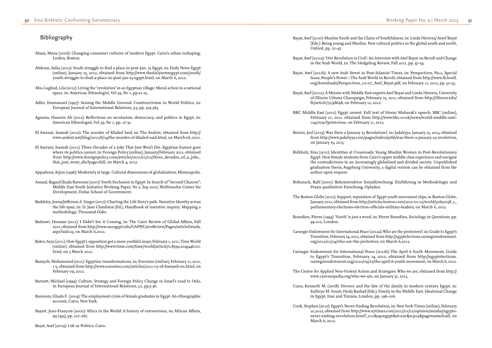Bayat, Asef (2010): Muslim Youth and the Claim of Youthfulness, in: Linda Herrera/ Assef Bayat (Eds.): Being young and Muslim. New cultural politics in the global south and north, Oxford, pp. 27–47.

Bayat, Asef (2011a): 'Our Revolution is Civil': An Interview with Asef Bayat on Revolt and Change in the Arab World, in: The Hedgehog Review, Fall 2011, pp. 47-54.

Bayat, Asef (2011b): A new Arab Street in Post-Islamist Times, in: Perspectives, No.2, Special Issue, People's Power – The Arab World in Revolt, obtained from http://www.lb.boell. org/downloads/Perspectives\_02-07\_Asef\_Bayat.pdf, on February 11, 2012, pp. 50-53.

Bayat, Asef (2011c): A Minute with Middle East experts Asef Bayat and Linda Herrera, University of Illinois Urbana Champaign, February 25, 2011, obtained from http://illinois.edu/ lb/article/72/48698, on February 12, 2012.

BBC Middle East (2011): Egypt unrest: Full text of Hosni Mubarak's speech, BBC (online), February 10, 2011, obtained from http://www.bbc.co.uk/news/world-middle-east-12427091?print=true, on February 11, 2012.

Beinin, Joel (2013): Was there a January 25 Revolution?, in: Jadaliyya, January 25, 2013, obtained from http://www.jadaliyya.com/pages/index/9766/was-there-a-january-25-revolution, on January 25, 2013.

Birkholz, Sina (2011): Identities at Crossroads: Young Muslim Women in Post-Revolutionary Egypt. How female students from Cairo's upper middle class experience and navigate the contradictions in an increasingly globalised and divided society. Unpublished graduation thesis, Augsburg University, a digital version can be obtained from the author upon request.

Bohnsack, Ralf (2000): Rekonstruktive Sozialforschung. Einführung in Methodologie und Praxis qualitativer Forschung, Opladen.

The Boston Globe (2012): Support, reputation of Egypt youth movement slips, in Boston Globe, January 2012, obtained from http://articles.boston.com/2012-01-22/world/30650038\_1\_ parliamentary-elections-election-officials-military-leaders, on March 6, 2012.

Bourdieu, Pierre (1994): 'Youth' is just a word, in: Pierre Bourdieu, Sociology in Questions, pp. 94-102, London.

Carnegie Endowment for International Peace (2012a): Who are the protesters?, in: Guide to Egypt's Transition, February 14, 2012, obtained from http://egyptelections.carnegieendowment. org/2012/02/14/who-are-the-protesters, on March 6,2012.

Carnegie Endowment for International Peace (2012b): The April 6 Youth Movement, Guide to Egypt's Transition, February 14, 2012, obtained from http://egyptelections. carnegieendowment.org/2010/09/22/the-april-6-youth-movement, on March 6, 2012.

The Centre for Applied Non-Violent Action and Strategies: Who we are, obtained from http:// www.canvasopedia.org/who-we-are, on January 31, 2013.

Cuno, Kenneth M. (2008): Divorce and the fate of the family in modern century Egypt, in: Kathryn M. Yount, Hoda Rashad (Eds.): Family in the Middle East. Ideational Change in Egypt, Iran and Tunisia, London, pp. 196–216.

Cook, Stephen (2012): Egypt's Never-Ending Revolution, in: New York Times (online), February 10,2012, obtained from http://www.nytimes.com/2012/02/12/opinion/sunday/egyptsnever-ending-revolution.html?\_r=2&sq=egypt&st=cse&scp=3&pagewanted=all, on March 6, 2012.

## Bibliography

- Abaza, Mona (2006): Changing consumer cultures of modern Egypt. Cairo's urban reshaping, Leiden, Boston.
- Abdoun, Safaa (2012): Youth struggle to find a place in post-Jan. 25 Egypt, in: Daily News Egypt (online), January 25, 2012, obtained from http://www.thedailynewsegypt.com/youth/ youth-struggle-to-find-a-place-in-post-jan-25-egypt.html, on March 6, 2012.
- Abu-Lughod, Lila (2012): Living the 'revolution' in an Egyptian village: Moral action in a national space, in: American Ethnologist, Vol 39, No 1, pp.21-25.
- Adler, Emmanuel (1997): Seizing the Middle Ground: Constructivism in World Politics, in: European Journal of International Relations, 3:3, pp. 319-363.
- Agrama, Hussein Ali (2012): Reflections on secularism, democracy, and politics in Egypt, in: American Ethnologist, Vol 39, No 1, pp. 27-31.
- El Amrani, Issandr (2010): The murder of Khaled Said, in: The Arabist, obtained from http:// www.arabist.net/blog/2010/6/14/the-murder-of-khaled-said.html, on March 06, 2012.
- El Amrani, Issandr (2011): Three Decades of a Joke That Just Won't Die. Egyptian humor goes where its politics cannot, in: Foreign Policy (online), January/February 2011, obtained from http://www.foreignpolicy.com/articles/2011/01/02/three\_decades\_of\_a\_joke\_ that\_just\_wont\_die?page=full, on March 4, 2012.

Appadurai, Arjun (1996): Modernity at large. Cultural dimensions of globalization, Minneapolis.

- Assaad, Ragui/Ghada Barsoum (2007): Youth Exclusion in Egypt: In Search of "Second Chances", Middle East Youth Initiative Working Paper, Nr 2, Sep 2007, Wolfensohn Center for Development, Dubai School of Government.
- Baddeley, Jenna/Jefferson A. Singer (2007): Charting the Life Story's path. Narrative Identity across the life span, in: D. Jean Clandinin (Ed.), Handbook of narrative inquiry. Mapping a methodology, Thousand Oaks.
- Badrawi, Hossam (2011): I Didn't See it Coming, in: The Cairo Review of Global Affairs, Fall 2011, obtained from http://www.aucegypt.edu/GAPP/CairoReview/Pages/articleDetails. aspx?aid=23, on March 6,2012.
- Baker, Aryn (2011): How Egypt's opposition got a more youthful mojo, February 1, 2011, Time World (online), obtained from http://www.time.com/time/world/article/0,8599,2045446,00. html, on 3 March 2012.
- Bamyeh, Mohammed (2011): Egyptian transformations, in: Eurozine (online), February 11, 2011, 1-5, obtained from http://www.eurozine.com/articles/2011-03-18-bamyeh-en.html, on February 09, 2012.
- Barnett, Michael (1999): Culture, Strategy and Foreign Policy Change in Israel's road to Oslo, in European Journal of International Relations, 5:1, pp.5-36.
- Barsoum, Ghada F. (2004): The employment crisis of female graduates in Egypt. An ethnographic account, Cairo, New York.
- Bayart, Jean-François (2000): Africa in the World: A history of extraversion, in: African Affairs, 99 (395), pp. 217–267.

Bayat, Asef (2009): Life as Politics, Cairo.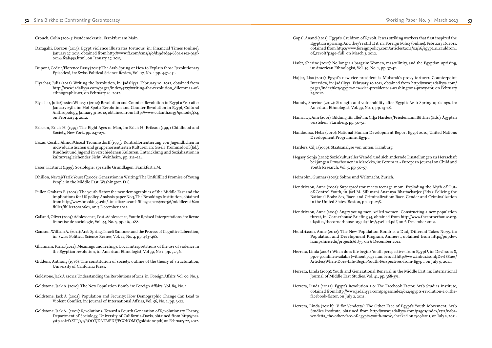Gopal, Anand (2011): Egypt's Cauldron of Revolt. It was striking workers that first inspired the Egyptian uprising. And they're still at it, in: Foreign Policy (online), February 16, 2011, obtained from http://www.foreignpolicy.com/articles/2011/02/16/egypt\_s\_cauldron\_

Hafez, Sherine (2012): No longer a bargain: Women, masculinity, and the Egyptian uprising,

Hajjar, Lisa (2011): Egypt's new vice president is Mubarak's proxy torturer. Counterpoint Interview, in: Jadaliyya, February 10,2011, obtained from http://www.jadaliyya.com/ pages/index/607/egypts-new-vice-president-is-washingtons-proxy-tor, on February

Hamdy, Sherine (2012): Strength and vulnerability after Egypt's Arab Spring uprisings, in:

- of\_revolt?page=full, on March 3, 2012.
- in: American Ethnologist, Vol. 39, No. 1, pp. 37-42.
- 24,2012.
- American Ethnologist, Vol. 39, No. 1, pp. 43-48.
- verstehen, Starnberg, pp. 50–51.
- Development Programme, Egypt.
- Harders, Cilja (1999): Staatsanalyse von unten. Hamburg.
- Youth Research, Vol. 5, pp. 50–57.

Hamzawy, Amr (2001): Bildung für alle?, in: Cilja Harders/Friedemann Büttner (Eds.): Ägypten

Handoussa, Heba (2010): National Human Development Report Egypt 2010, United Nations

Hegasy, Sonja (2010): Soziokultureller Wandel und sich ändernde Einstellungen zu Herrschaft bei jungen Erwachsenen in Marokko, in: Forum 21 - European Journal on Child and

Heinsohn, Gunnar (2003): Söhne und Weltmacht, Zürich.

Hendrixson, Anne (2002): Superpredator meets teenage mom. Exploding the Myth of Outof-Control Youth, in Jael M. Silliman/ Anannya Bhattacharjee (Eds.): Policing the National Body: Sex, Race, and Criminalization: Race, Gender and Criminalization

Hendrixson, Anne (2004): Angry young men, veiled women. Constructing a new population threat, in: Cornerhouse Briefing 34, obtained from http://www.thecornerhouse.org. uk/sites/thecornerhouse.org.uk/files/34veiled.pdf, on 6 December 2012.

Hendrixson, Anne (2012): The New Population Bomb is a Dud, Different Takes No.75, in: Population and Development Program, Amherst, obtained from http://popdev.

- in the United States, Boston, pp. 231-258.
- 
- hampshire.edu/projects/dt/75, on 6 December 2012.
- 
- Journal of Middle East Studies, Vol. 41, pp. 368-371.
- facebook-factor, on July 2, 2011.
- 

Herrera, Linda (2006): When does life begin? Youth perspectives from Egypt?, in: DevIssues 8, pp. 7-9, online available (without page numbers at) http://www.intra1.iss.nl/DevISSues/ Articles/When-Does-Life-Begin-Youth-Perspectives-from-Egypt, on July 9, 2011.

Herrera, Linda (2009): Youth and Generational Renewal in the Middle East, in: International

Herrera, Linda (2011a): Egypt's Revolution 2.0: The Facebook Factor, Arab Studies Institute, obtained from http://www.jadaliyya.com/pages/index/612/egypts-revolution-2.0\_the-

Herrera, Linda (2011b): 'V for Vendetta': The Other Face of Egypt's Youth Movement, Arab Studies Institute, obtained from http://www.jadaliyya.com/pages/index/1723/v-forvendetta\_the-other-face-of-egypts-youth-move, checked on 2/09/2011, on July 2, 2011.

Crouch, Colin (2004): Postdemokratie, Frankfurt am Main.

- Daragahi, Borzou (2013): Egypt violence illustrates tortuous, in: Financial Times (online), January 27, 2013, obtained from http://www.ft.com/cms/s/0/d19d7d54-689a-11e2-9a3f-00144feab49a.html, on January 27, 2013.
- Dupont, Cedric/Florence Passy (2011): The Arab Spring or How to Explain those Revolutionary Episodes?, in: Swiss Political Science Review, Vol. 17, No. 4,pp. 447–451.
- Elyachar, Julia (2012): Writing the Revolution, in: Jadaliyya, February 10, 2012, obtained from http://www.jadaliyya.com/pages/index/4277/writing-the-revolution\_dilemmas-ofethnographic-wr, on February 24, 2012.
- Elyachar, Julia/Jessica Winegar (2012): Revolution and Counter-Revolution in Egypt a Year after January 25th, in: Hot Spots: Revolution and Counter Revolution in Egypt, Cultural Anthropology, January 31, 2012, obtained from http://www.culanth.org/?q=node/484, on February 4, 2012.
- Erikson, Erich H. (1993): The Eight Ages of Man, in: Erich H. Erikson (1993) Childhood and Society, New York, pp. 247-274.
- Essau, Cecilia Ahmoi/Giseal Trommsdorff (1995): Kontrollorientierung von Jugendlichen in individualistischen und gruppenorientierten Kulturen, in: Gisela Trommsdorff (Ed.): Kindheit und Jugend in verschiedenen Kulturen. Entwicklung und Sozialisation in kulturvergleichender Sicht. Weinheim, pp. 211–224.

Esser, Hartmut (1999): Soziologie: spezielle Grundlagen, Frankfurt a.M.

- Dhillon, Navtej/Tarik Yousef (2009): Generation in Waiting: The Unfulfilled Promise of Young People in the Middle East, Washington D.C.
- Fuller, Graham E. (2003): The youth factor: the new demographics of the Middle East and the implications for US policy, Analysis paper No.3, The Brookings Institution, obtained from http://www.brookings.edu/~/media/research/files/papers/2003/6/middleeast%20 fuller/fuller20030601, on 7 December 2012.
- Galland, Oliver (2003): Adolescence, Post-Adolescence, Youth: Revised Interpretations, in: Revue francaise de sociologie, Vol. 44, No. 5, pp. 163–188.
- Gamson, William A. (2011): Arab Spring, Israeli Summer, and the Process of Cognitive Liberation, in: Swiss Political Science Review, Vol. 17, No. 4, pp. 463–468.
- Ghannam, Farha (2012): Meanings and feelings: Local interpretations of the use of violence in the Egyptian revolution, in: American Ethnologist, Vol 39, No 1, pp. 32-36.
- Giddens, Anthony (1986): The constitution of society: outline of the theory of structuration, University of California Press.
- Goldstone, Jack A. (2011): Understanding the Revolutions of 2011, in: Foreign Affairs, Vol. 90, No. 3.

Goldstone, Jack A. (2010): The New Population Bomb, in: Foreign Affairs, Vol. 89, No. 1.

- Goldstone, Jack A. (2002): Population and Security: How Demographic Change Can Lead to Violent Conflict, in: Journal of International Affairs, Vol. 56, No. 1, pp. 3-22.
- Goldstone, Jack A. (2001): Revolutions. Toward a Fourth Generation of Revolutionary Theory, Department of Sociology, University of California-Davis, obtained from http://ns1. ystp.ac.ir/YSTP/1/1/ROOT/DATA/PDF/ECONOMY/goldstone.pdf, on February 22, 2012.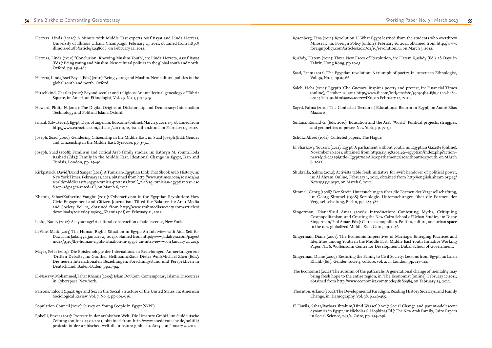Rosenberg, Tina (2011): Revolution U. What Egypt learned from the students who overthrew Milosevic, in: Foreign Policy (online), February 16, 2011, obtained from http://www. foreignpolicy.com/articles/2011/02/16/revolution\_u, on March 3, 2012.

Rushdy, Hatem (2011): Three New Faces of Revolution, in: Hatem Rushdy (Ed.): 18 Days in

Saad, Reem (2012): The Egyptian revolution: A triumph of poetry, in: American Ethnologist,

Saleh, Heba (2011): Egypt's 'Che Guevara' inspires poetry and protest, in: Financial Times (online), October 13, 2011,http://www.ft.com/intl/cms/s/0/3905e4ba-f5b3-11e0-be8c-

Sultana, Ronald G. (Eds. 2010): Education and the Arab 'World'. Political projects, struggles,

November 19,2011, obtained from http://213.158.162.45/~egyptian/index.php?action= news&id=22325&title=Egypt:%20A%20parliament%20without%20youth, on MArch

in: Al Ahram Online, February 1, 2012, obtained from http://english.ahram.org.eg/

in: Georg Simmel (1908) Soziologie. Untersuchungen über die Formen der

- 
- Tahrir, Hong Kong, pp.29-35.
- Vol. 39, No. 1, pp.63-66.
- 00144feab49a.html#axzz1oezewiXn, on February 12, 2011.
- Sayed, Fatma (2010): The Contested Terrain of Educational Reform in Egypt, in: André Elias Mazawi/
- and geometries of power. New York, pp. 77–92.
- Schütz, Alfred (1964): Collected papers, The Hague.
- El Sharkawy, Youssra (2011): Egypt: A parliament without youth, in: Egyptian Gazette (online), 6, 2012.
- Shukralla, Salma (2012): Activists table fresh initiative for swift handover of political power, News/33430.aspx, on March 6, 2012.
- Simmel, Georg (1908): Der Streit. Untersuchungen über die Formen der Vergesellschaftung, Vergesellschaftung, Berlin, pp. 284-382.
- Singerman, Diane/Paul Amar (2006): Introduction: Contesting Myths, Critiquing in the new globalized Middle East. Cairo, pp. 1–46.
- 
- Singerman, Diane (2009): Restoring the Family to Civil Society: Lessons from Egypt, in: Laleh Khalili (Ed.): Gender, society, culture, vol. 2. 1., London, pp. 117–144.
- The Economist (2011): The autumn of the patriarchs. A generational change of mentality may
- Thornton, Arland (2001): The Developmental Paradigm, Reading History Sideways, and Family Change, in: Demography, Vol. 38, p.449-465.
- El Tawila, Sahar/Barbara Ibrahim/Hind Wassef (2001): Social Change and parent-adolescent in Social Science, 24,1/2, Cairo, pp. 214–246.

Cosmopolitanism, and Creating the New Cairo School of Urban Studies, in: Diane Singerman/Paul Amar (Eds.): Cairo cosmopolitan. Politics, culture, and urban space

Singerman, Diane (2007): The Economic Imperatives of Marriage: Emerging Practices and Identities among Youth in the Middle East, Middle East Youth Initiative Working Paper, Nr. 6, Wolfensohn Center for Development, Dubai School of Government.

bring fresh hope to the entire region, in: The Economist (online), February 17,2011, obtained from http://www.economist.com/node/18186984, on February 24, 2012.

dynamics in Egypt, in: Nicholas S. Hopkins (Ed.): The New Arab Family, Cairo Papers

- Herrera, Linda (2011c): A Minute with Middle East experts Asef Bayat and Linda Herrera, University of Illinois Urbana Champaign, February 25, 2011, obtained from http:// illinois.edu/lb/article/72/48698, on February 12, 2012.
- Herrera, Linda (2010) "Conclusion: Knowing Muslim Youth", in: Linda Herrera, Assef Bayat (Eds.): Being young and Muslim. New cultural politics in the global south and north, Oxford, pp. 355–364.
- Herrera, Linda/Asef Bayat (Eds.) (2010): Being young and Muslim. New cultural politics in the global south and north. Oxford.
- Hirschkind, Charles (2012): Beyond secular and religious: An intellectual genealogy of Tahrir Square, in: American Ethnologist, Vol. 39, No. 1, pp.49-53.
- Howard, Philip N. (2011): The Digital Origins of Dictatorship and Democracy: Information Technology and Political Islam, Oxford.
- Ismail, Salwa (2011): Egypt: Days of anger, in: Eurozine (online), March 3, 2011, 1-5, obtained from http://www.eurozine.com/articles/2011-03-23-ismail-en.html, on February 09, 2012.
- Joseph, Suad (2000): Gendering Citizenship in the Middle East, in: Suad Joseph (Ed.): Gender and Citizenship in the Middle East, Syracuse, pp. 3–32.
- Joseph, Suad (2008): Familism and critical Arab family studies, in: Kathryn M. Yount/Hoda Rashad (Eds.): Family in the Middle East. Ideational Change in Egypt, Iran and Tunisia, London, pp. 25–40.
- Kirkpatrick, David/David Sanger (2011): A Tunisian-Egyptian Link That Shook Arab History, in: New York Times, February 13, 2011, obtained from http://www.nytimes.com/2011/02/14/ world/middleeast/14egypt-tunisia-protests.html?\_r=1&sq=tunisian-egyptian&st=cse &scp=1&pagewanted=all, on March 6, 2012.
- Khamis, Sahar/Katherine Vaughn (2011): Cyberactivism in the Egyptian Revolution: How Civic Engagement and Citizen Journalism Tilted the Balance, in: Arab Media and Society, Vol. 13, obtained from http://www.arabmediasociety.com/articles/ downloads/20110603105609\_Khamis.pdf, on February 11, 2012.
- Lesko, Nancy (2012): Act your age! A cultural construction of adolescence, New York.
- LeVine, Mark (2013) The Human Rights Situation in Egypt: An Interview with Aida Seif El-Dawla, in: Jadaliyya, january 23, 2013, obtained from http://www.jadaliyya.com/pages/ index/9740/the-human-rights-situation-in-egypt\_an-interview-w, on January 27, 2013.
- Mayer, Peter (2003): Die Epistemologie der Internationalen Beziehungen. Anmerkungen zur 'Dritten Debatte', in: Gunther Hellmann/Klaus Dieter Wolf/Michael Zürn (Eds.): Die neuen Internationalen Beziehungen: Forschungsstand und Perspektiven in Deutschland; Baden-Baden, pp.47-94.
- El-Nawawy, Mohammed/Sahar Khamis (2009): Islam Dot Com: Contemporary Islamic Discourses in Cyberspace, New York.
- Parsons, Talcott (1942): Age and Sex in the Social Structure of the United States, in: American Sociological Review, Vol. 7, No. 5, pp.604-616.
- Population Council (2010): Survey on Young People in Egypt (SYPE).
- Robelli, Enver (2011): Proteste in der arabischen Welt. Die Umsturz GmbH, in: Süddeutsche Zeitung (online), 17.02.2011, obtained from http://www.sueddeutsche.de/politik/ proteste-in-der-arabischen-welt-die-umsturz-gmbh-1.1061251, on January 2, 2012.